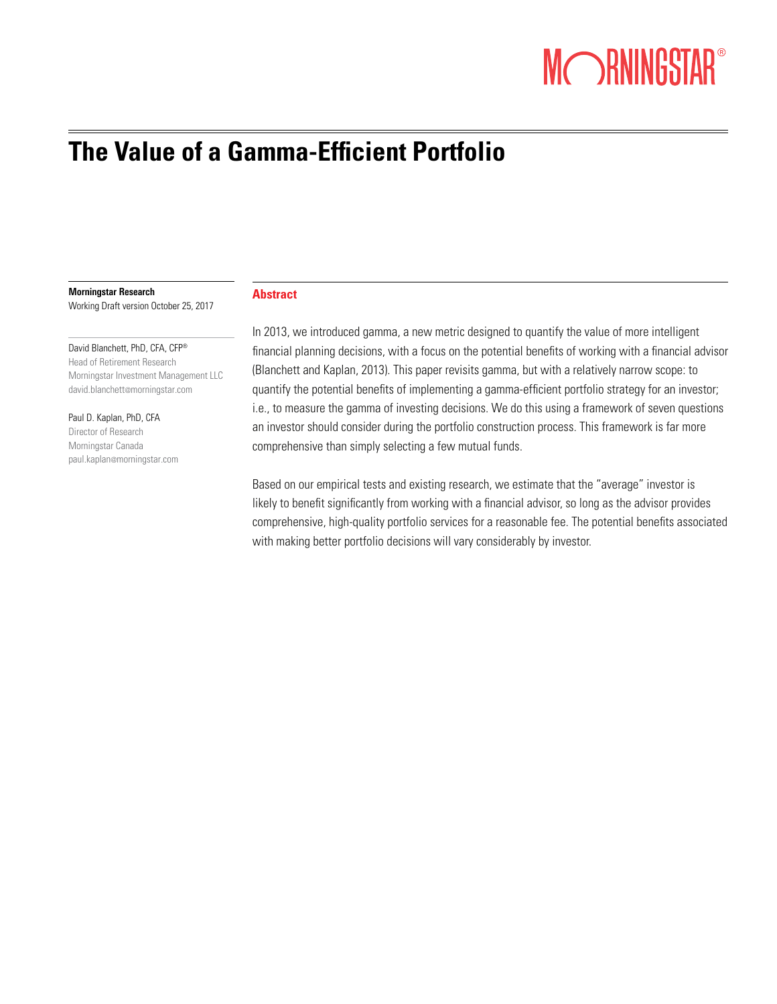# MORNINGSTAR®

# **The Value of a Gamma-Efficient Portfolio**

#### Morningstar Research

Working Draft version October 25, 2017

David Blanchett, PhD, CFA, CFP® Head of Retirement Research Morningstar Investment Management LLC david.blanchett@morningstar.com

Paul D. Kaplan, PhD, CFA Director of Research Morningstar Canada paul.kaplan@morningstar.com

# **Abstract**

In 2013, we introduced gamma, a new metric designed to quantify the value of more intelligent financial planning decisions, with a focus on the potential benefits of working with a financial advisor (Blanchett and Kaplan, 2013). This paper revisits gamma, but with a relatively narrow scope: to quantify the potential benefits of implementing a gamma-efficient portfolio strategy for an investor; i.e., to measure the gamma of investing decisions. We do this using a framework of seven questions an investor should consider during the portfolio construction process. This framework is far more comprehensive than simply selecting a few mutual funds.

Based on our empirical tests and existing research, we estimate that the "average" investor is likely to benefit significantly from working with a financial advisor, so long as the advisor provides comprehensive, high-quality portfolio services for a reasonable fee. The potential benefits associated with making better portfolio decisions will vary considerably by investor.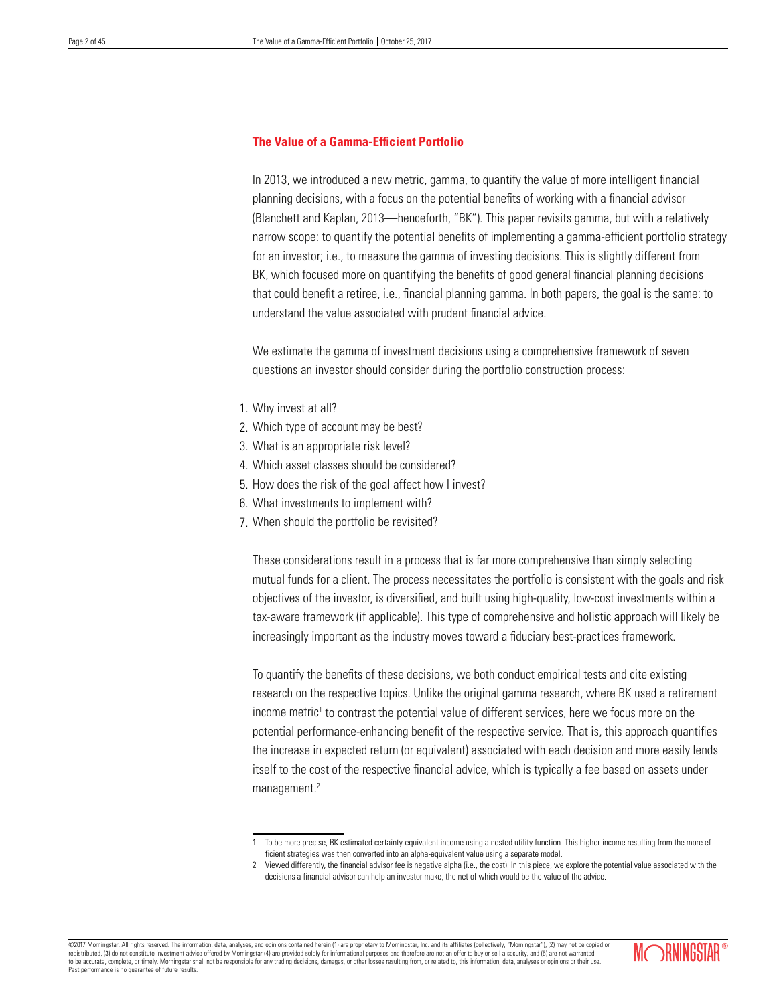# **The Value of a Gamma-Efficient Portfolio**

In 2013, we introduced a new metric, gamma, to quantify the value of more intelligent financial planning decisions, with a focus on the potential benefits of working with a financial advisor (Blanchett and Kaplan, 2013—henceforth, "BK"). This paper revisits gamma, but with a relatively narrow scope: to quantify the potential benefits of implementing a gamma-efficient portfolio strategy for an investor; i.e., to measure the gamma of investing decisions. This is slightly different from BK, which focused more on quantifying the benefits of good general financial planning decisions that could benefit a retiree, i.e., financial planning gamma. In both papers, the goal is the same: to understand the value associated with prudent financial advice.

We estimate the gamma of investment decisions using a comprehensive framework of seven questions an investor should consider during the portfolio construction process:

- 1. Why invest at all?
- 2. Which type of account may be best?
- 3. What is an appropriate risk level?
- 4. Which asset classes should be considered?
- 5. How does the risk of the goal affect how I invest?
- 6. What investments to implement with?
- 7. When should the portfolio be revisited?

These considerations result in a process that is far more comprehensive than simply selecting mutual funds for a client. The process necessitates the portfolio is consistent with the goals and risk objectives of the investor, is diversified, and built using high-quality, low-cost investments within a tax-aware framework (if applicable). This type of comprehensive and holistic approach will likely be increasingly important as the industry moves toward a fiduciary best-practices framework.

To quantify the benefits of these decisions, we both conduct empirical tests and cite existing research on the respective topics. Unlike the original gamma research, where BK used a retirement income metric<sup>1</sup> to contrast the potential value of different services, here we focus more on the potential performance-enhancing benefit of the respective service. That is, this approach quantifies the increase in expected return (or equivalent) associated with each decision and more easily lends itself to the cost of the respective financial advice, which is typically a fee based on assets under management.<sup>2</sup>

<sup>©2017</sup> Morningstar. All rights reserved. The information, data, analyses, and opinions contained herein (1) are proprietary to Morningstar, Inc. and its affiliates (collectively, "Morningstar"), (2) may not be copied or redistributed, (3) do not constitute investment advice offered by Morningstar (4) are provided solely for informational purposes and therefore are not an offer to buy or sell a security, and (5) are not warranted and the s to be accurate, complete, or timely. Morningstar shall not be responsible for any trading decisions, damages, or other losses resulting from, or related to, this information, data, analyses or opinions or their use. Past performance is no guarantee of future results.



To be more precise, BK estimated certainty-equivalent income using a nested utility function. This higher income resulting from the more efficient strategies was then converted into an alpha-equivalent value using a separate model.

<sup>2</sup> Viewed differently, the financial advisor fee is negative alpha (i.e., the cost). In this piece, we explore the potential value associated with the decisions a financial advisor can help an investor make, the net of which would be the value of the advice.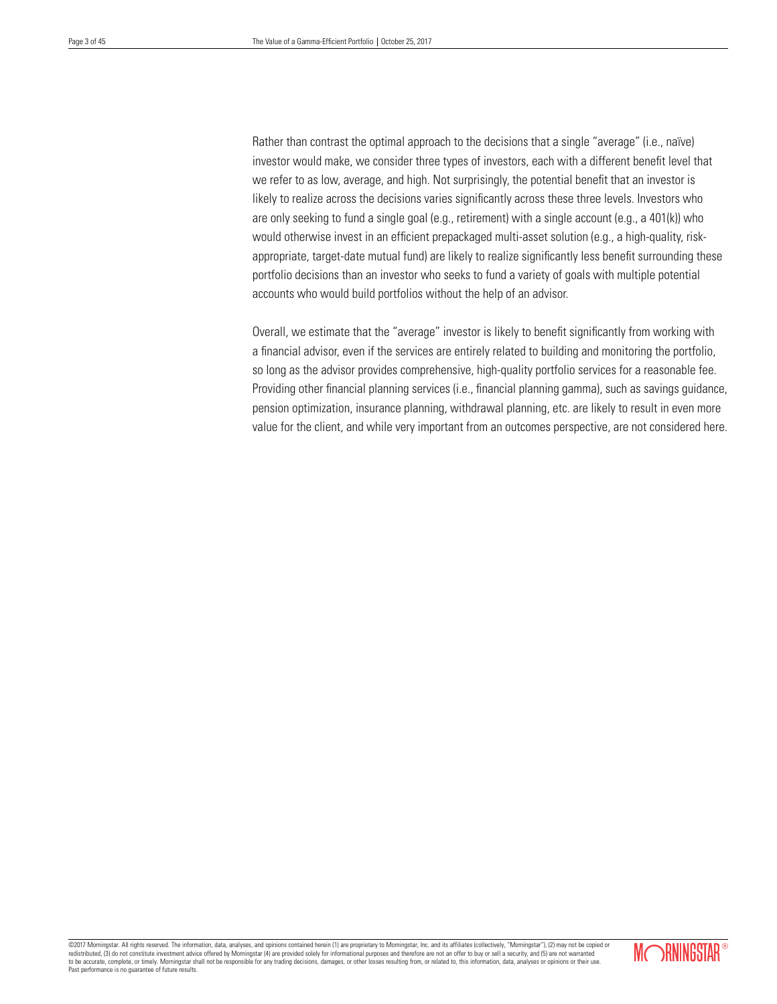Rather than contrast the optimal approach to the decisions that a single "average" (i.e., naïve) investor would make, we consider three types of investors, each with a different benefit level that we refer to as low, average, and high. Not surprisingly, the potential benefit that an investor is likely to realize across the decisions varies significantly across these three levels. Investors who are only seeking to fund a single goal (e.g., retirement) with a single account (e.g., a 401(k)) who would otherwise invest in an efficient prepackaged multi-asset solution (e.g., a high-quality, riskappropriate, target-date mutual fund) are likely to realize significantly less benefit surrounding these portfolio decisions than an investor who seeks to fund a variety of goals with multiple potential accounts who would build portfolios without the help of an advisor.

Overall, we estimate that the "average" investor is likely to benefit significantly from working with a financial advisor, even if the services are entirely related to building and monitoring the portfolio, so long as the advisor provides comprehensive, high-quality portfolio services for a reasonable fee. Providing other financial planning services (i.e., financial planning gamma), such as savings guidance, pension optimization, insurance planning, withdrawal planning, etc. are likely to result in even more value for the client, and while very important from an outcomes perspective, are not considered here.

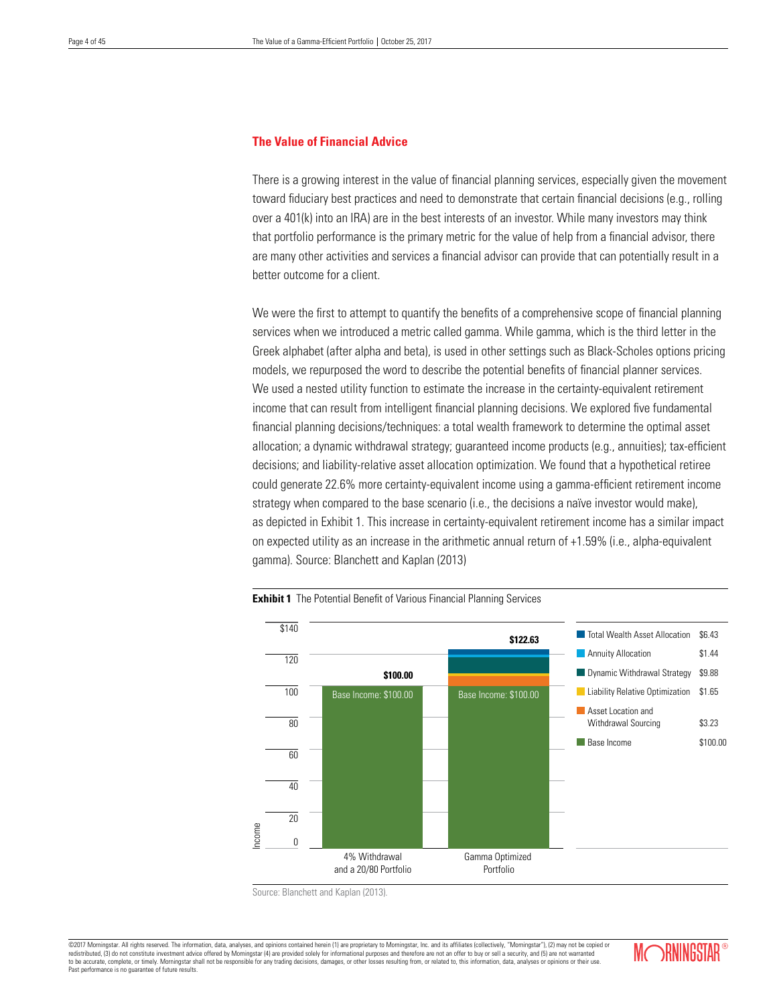# **The Value of Financial Advice**

There is a growing interest in the value of financial planning services, especially given the movement toward fiduciary best practices and need to demonstrate that certain financial decisions (e.g., rolling over a 401(k) into an IRA) are in the best interests of an investor. While many investors may think that portfolio performance is the primary metric for the value of help from a financial advisor, there are many other activities and services a financial advisor can provide that can potentially result in a better outcome for a client.

We were the first to attempt to quantify the benefits of a comprehensive scope of financial planning services when we introduced a metric called gamma. While gamma, which is the third letter in the Greek alphabet (after alpha and beta), is used in other settings such as Black-Scholes options pricing models, we repurposed the word to describe the potential benefits of financial planner services. We used a nested utility function to estimate the increase in the certainty-equivalent retirement income that can result from intelligent financial planning decisions. We explored five fundamental financial planning decisions/techniques: a total wealth framework to determine the optimal asset allocation; a dynamic withdrawal strategy; guaranteed income products (e.g., annuities); tax-efficient decisions; and liability-relative asset allocation optimization. We found that a hypothetical retiree could generate 22.6% more certainty-equivalent income using a gamma-efficient retirement income strategy when compared to the base scenario (i.e., the decisions a naïve investor would make), as depicted in Exhibit 1. This increase in certainty-equivalent retirement income has a similar impact on expected utility as an increase in the arithmetic annual return of +1.59% (i.e., alpha-equivalent gamma). Source: Blanchett and Kaplan (2013)



**Exhibit 1** The Potential Benefit of Various Financial Planning Services

Source: Blanchett and Kaplan (2013).

©2017 Morningstar. All rights reserved. The information, data, analyses, and opinions contained herein (1) are proprietary to Morningstar, Inc. and its affiliates (collectively, "Morningstar"), (2) may not be copied or red redistributed, (3) do not constitute investment advice offered by Morningstar (4) are provided solely for informational purposes and therefore are not an offer to buy or security, and  $\alpha$ to be accurate, complete, or timely. Morningstar shall not be responsible for any trading decisions, damages, or other losses resulting from, or related to, this information, data, analyses or opinions or their use. Past performance is no guarantee of future results.

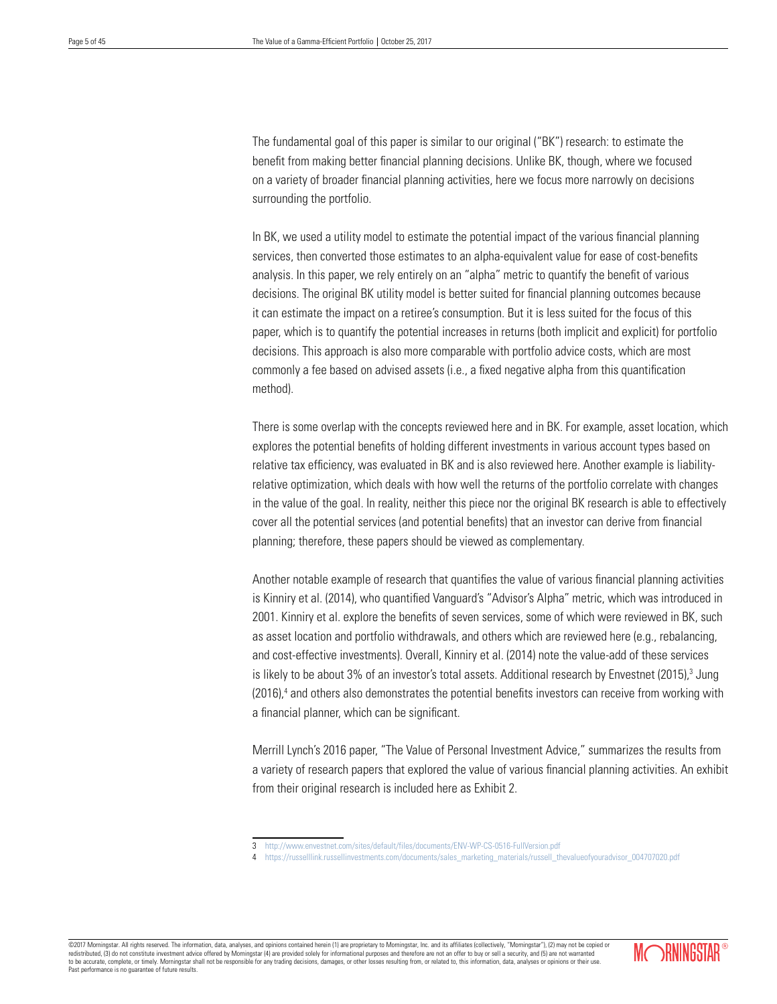The fundamental goal of this paper is similar to our original ("BK") research: to estimate the benefit from making better financial planning decisions. Unlike BK, though, where we focused on a variety of broader financial planning activities, here we focus more narrowly on decisions surrounding the portfolio.

In BK, we used a utility model to estimate the potential impact of the various financial planning services, then converted those estimates to an alpha-equivalent value for ease of cost-benefits analysis. In this paper, we rely entirely on an "alpha" metric to quantify the benefit of various decisions. The original BK utility model is better suited for financial planning outcomes because it can estimate the impact on a retiree's consumption. But it is less suited for the focus of this paper, which is to quantify the potential increases in returns (both implicit and explicit) for portfolio decisions. This approach is also more comparable with portfolio advice costs, which are most commonly a fee based on advised assets (i.e., a fixed negative alpha from this quantification method).

There is some overlap with the concepts reviewed here and in BK. For example, asset location, which explores the potential benefits of holding different investments in various account types based on relative tax efficiency, was evaluated in BK and is also reviewed here. Another example is liabilityrelative optimization, which deals with how well the returns of the portfolio correlate with changes in the value of the goal. In reality, neither this piece nor the original BK research is able to effectively cover all the potential services (and potential benefits) that an investor can derive from financial planning; therefore, these papers should be viewed as complementary.

Another notable example of research that quantifies the value of various financial planning activities is Kinniry et al. (2014), who quantified Vanguard's "Advisor's Alpha" metric, which was introduced in 2001. Kinniry et al. explore the benefits of seven services, some of which were reviewed in BK, such as asset location and portfolio withdrawals, and others which are reviewed here (e.g., rebalancing, and cost-effective investments). Overall, Kinniry et al. (2014) note the value-add of these services is likely to be about 3% of an investor's total assets. Additional research by Envestnet (2015),<sup>3</sup> Jung (2016),<sup>4</sup> and others also demonstrates the potential benefits investors can receive from working with a financial planner, which can be significant.

Merrill Lynch's 2016 paper, "The Value of Personal Investment Advice," summarizes the results from a variety of research papers that explored the value of various financial planning activities. An exhibit from their original research is included here as Exhibit 2.

©2017 Morningstar. All rights reserved. The information, data, analyses, and opinions contained herein (1) are proprietary to Morningstar, Inc. and its affiliates (collectively, "Morningstar"), (2) may not be copied or redistributed, (3) do not constitute investment advice offered by Morningstar (4) are provided solely for informational purposes and therefore are not an offer to buy or sell a security, and (5) are not warrant to be accurate, complete, or timely. Morningstar shall not be responsible for any trading decisions, damages, or other losses resulting from, or related to, this information, data, analyses or opinions or their use. Past performance is no guarantee of future results.



<sup>3</sup> http://www.envestnet.com/sites/default/files/documents/ENV-WP-CS-0516-FullVersion.pdf

https://russelllink.russellinvestments.com/documents/sales\_marketing\_materials/russell\_thevalueofyouradvisor\_004707020.pdf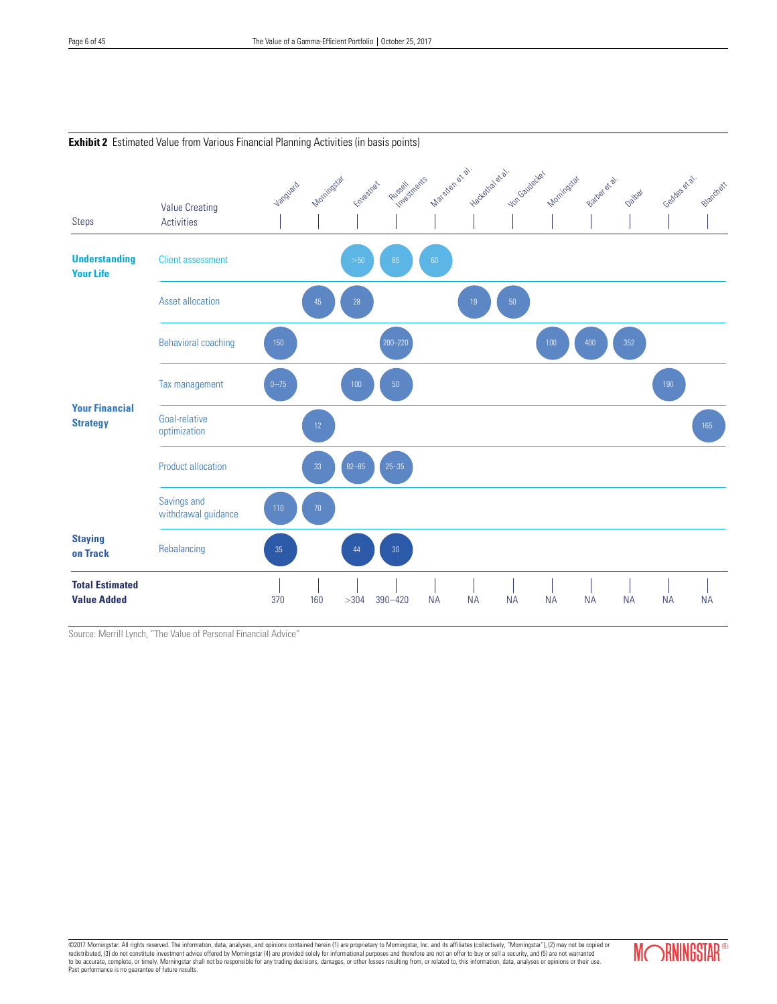

# **Exhibit 2** Estimated Value from Various Financial Planning Activities (in basis points)

Source: Merrill Lynch, "The Value of Personal Financial Advice"

©2017 Morningstar. All rights reserved. The information, data, analyses, and opinions contained herein (1) are proprietary to Morningstar, Inc. and its affiliates (collectively, "Morningstar"), (2) may not be copied or<br>red Past performance is no guarantee of future results.

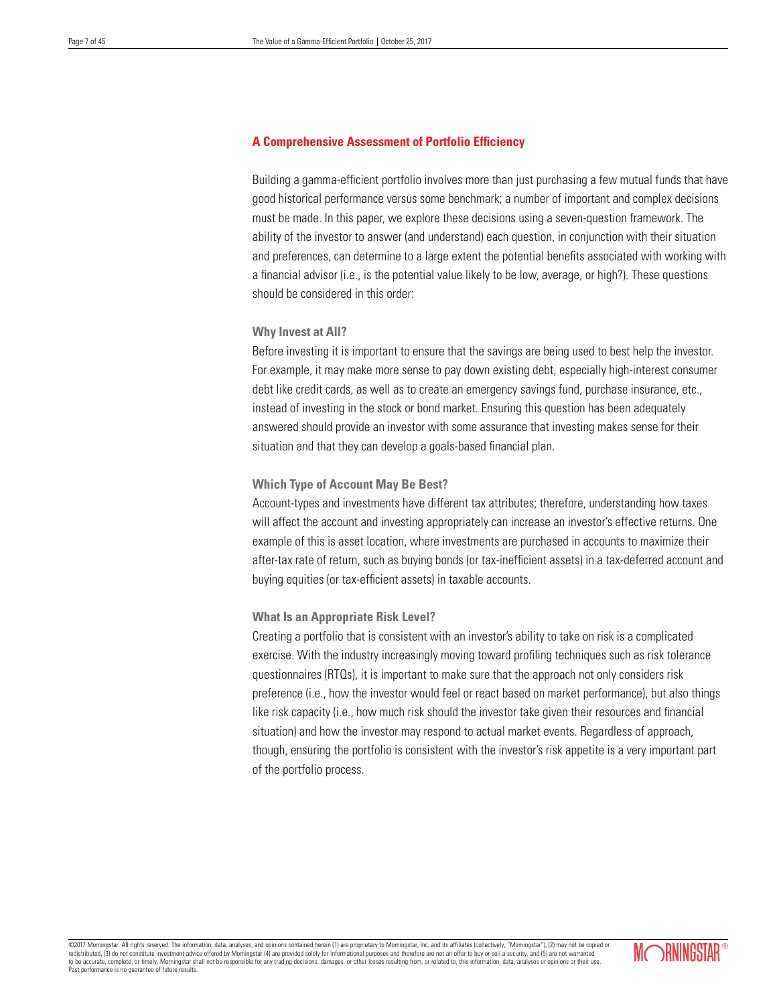# **A Comprehensive Assessment of Portfolio Efficiency**

Building a gamma-efficient portfolio involves more than just purchasing a few mutual funds that have good historical performance versus some benchmark; a number of important and complex decisions must be made. In this paper, we explore these decisions using a seven-question framework. The ability of the investor to answer (and understand) each question, in conjunction with their situation and preferences, can determine to a large extent the potential benefits associated with working with a financial advisor (i.e., is the potential value likely to be low, average, or high?). These questions should be considered in this order:

# **Why Invest at All?**

Before investing it is important to ensure that the savings are being used to best help the investor. For example, it may make more sense to pay down existing debt, especially high-interest consumer debt like credit cards, as well as to create an emergency savings fund, purchase insurance, etc., instead of investing in the stock or bond market. Ensuring this question has been adequately answered should provide an investor with some assurance that investing makes sense for their situation and that they can develop a goals-based financial plan.

# **Which Type of Account May Be Best?**

Account-types and investments have different tax attributes; therefore, understanding how taxes will affect the account and investing appropriately can increase an investor's effective returns. One example of this is asset location, where investments are purchased in accounts to maximize their after-tax rate of return, such as buying bonds (or tax-inefficient assets) in a tax-deferred account and buying equities (or tax-efficient assets) in taxable accounts.

# **What Is an Appropriate Risk Level?**

Creating a portfolio that is consistent with an investor's ability to take on risk is a complicated exercise. With the industry increasingly moving toward profiling techniques such as risk tolerance questionnaires (RTQs), it is important to make sure that the approach not only considers risk preference (i.e., how the investor would feel or react based on market performance), but also things like risk capacity (i.e., how much risk should the investor take given their resources and financial situation) and how the investor may respond to actual market events. Regardless of approach, though, ensuring the portfolio is consistent with the investor's risk appetite is a very important part of the portfolio process.

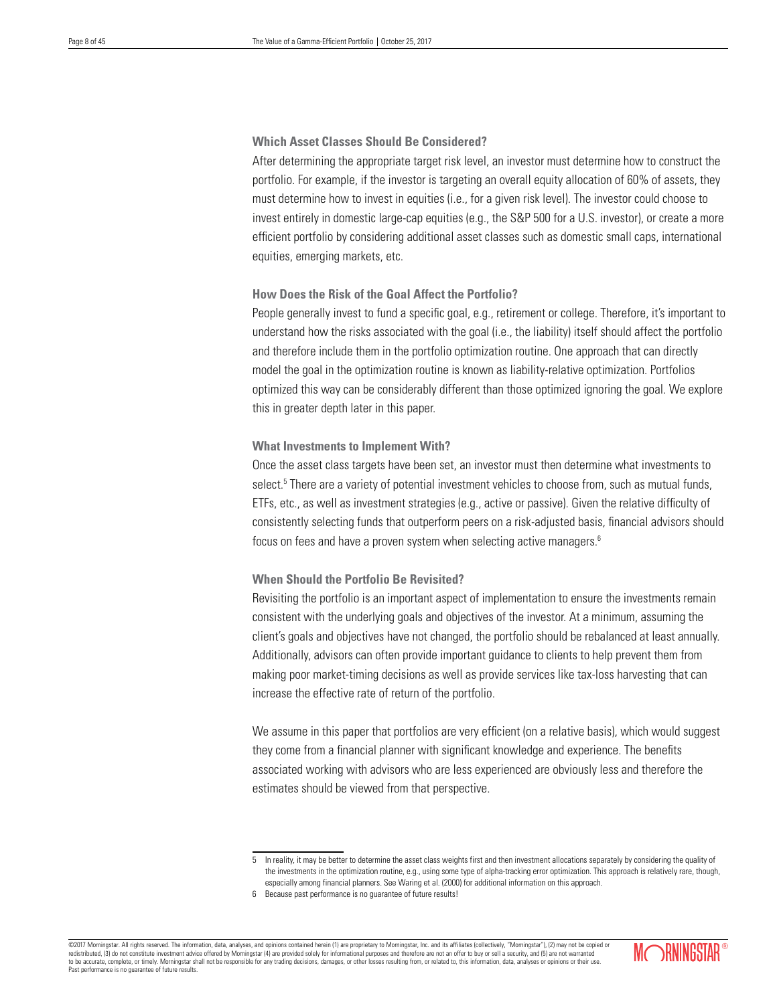# **Which Asset Classes Should Be Considered?**

After determining the appropriate target risk level, an investor must determine how to construct the portfolio. For example, if the investor is targeting an overall equity allocation of 60% of assets, they must determine how to invest in equities (i.e., for a given risk level). The investor could choose to invest entirely in domestic large-cap equities (e.g., the S&P 500 for a U.S. investor), or create a more efficient portfolio by considering additional asset classes such as domestic small caps, international equities, emerging markets, etc.

# **How Does the Risk of the Goal Affect the Portfolio?**

People generally invest to fund a specific goal, e.g., retirement or college. Therefore, it's important to understand how the risks associated with the goal (i.e., the liability) itself should affect the portfolio and therefore include them in the portfolio optimization routine. One approach that can directly model the goal in the optimization routine is known as liability-relative optimization. Portfolios optimized this way can be considerably different than those optimized ignoring the goal. We explore this in greater depth later in this paper.

# **What Investments to Implement With?**

Once the asset class targets have been set, an investor must then determine what investments to select.<sup>5</sup> There are a variety of potential investment vehicles to choose from, such as mutual funds, ETFs, etc., as well as investment strategies (e.g., active or passive). Given the relative difficulty of consistently selecting funds that outperform peers on a risk-adjusted basis, financial advisors should focus on fees and have a proven system when selecting active managers.6

# **When Should the Portfolio Be Revisited?**

Revisiting the portfolio is an important aspect of implementation to ensure the investments remain consistent with the underlying goals and objectives of the investor. At a minimum, assuming the client's goals and objectives have not changed, the portfolio should be rebalanced at least annually. Additionally, advisors can often provide important guidance to clients to help prevent them from making poor market-timing decisions as well as provide services like tax-loss harvesting that can increase the effective rate of return of the portfolio.

We assume in this paper that portfolios are very efficient (on a relative basis), which would suggest they come from a financial planner with significant knowledge and experience. The benefits associated working with advisors who are less experienced are obviously less and therefore the estimates should be viewed from that perspective.

<sup>©2017</sup> Morningstar. All rights reserved. The information, data, analyses, and opinions contained herein (1) are proprietary to Morningstar, Inc. and its affiliates (collectively, "Morningstar"), (2) may not be copied or redistributed, (3) do not constitute investment advice offered by Morningstar (4) are provided solely for informational purposes and therefore are not an offer to buy or sell a security, and (5) are not warranted to be accurate, complete, or timely. Morningstar shall not be responsible for any trading decisions, damages, or other losses resulting from, or related to, this information, data, analyses or opinions or their use. Past performance is no guarantee of future results.



<sup>5</sup> In reality, it may be better to determine the asset class weights first and then investment allocations separately by considering the quality of the investments in the optimization routine, e.g., using some type of alpha-tracking error optimization. This approach is relatively rare, though, especially among financial planners. See Waring et al. (2000) for additional information on this approach.

<sup>6</sup> Because past performance is no guarantee of future results!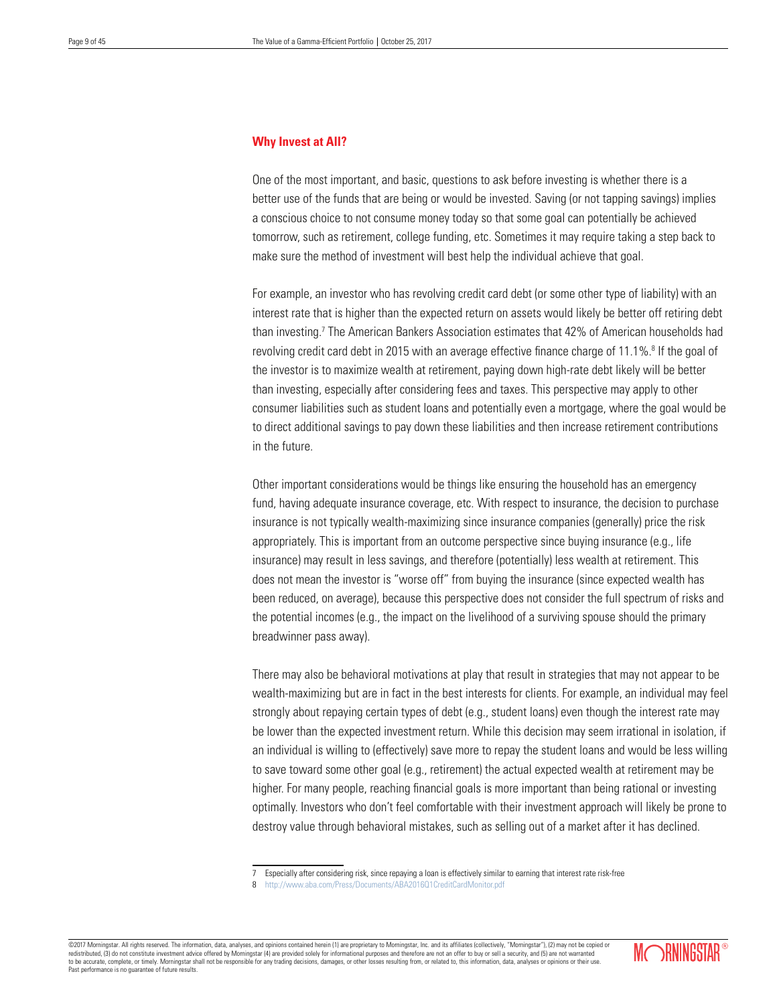# **Why Invest at All?**

One of the most important, and basic, questions to ask before investing is whether there is a better use of the funds that are being or would be invested. Saving (or not tapping savings) implies a conscious choice to not consume money today so that some goal can potentially be achieved tomorrow, such as retirement, college funding, etc. Sometimes it may require taking a step back to make sure the method of investment will best help the individual achieve that goal.

For example, an investor who has revolving credit card debt (or some other type of liability) with an interest rate that is higher than the expected return on assets would likely be better off retiring debt than investing.<sup>7</sup> The American Bankers Association estimates that 42% of American households had revolving credit card debt in 2015 with an average effective finance charge of 11.1%.<sup>8</sup> If the goal of the investor is to maximize wealth at retirement, paying down high-rate debt likely will be better than investing, especially after considering fees and taxes. This perspective may apply to other consumer liabilities such as student loans and potentially even a mortgage, where the goal would be to direct additional savings to pay down these liabilities and then increase retirement contributions in the future.

Other important considerations would be things like ensuring the household has an emergency fund, having adequate insurance coverage, etc. With respect to insurance, the decision to purchase insurance is not typically wealth-maximizing since insurance companies (generally) price the risk appropriately. This is important from an outcome perspective since buying insurance (e.g., life insurance) may result in less savings, and therefore (potentially) less wealth at retirement. This does not mean the investor is "worse off" from buying the insurance (since expected wealth has been reduced, on average), because this perspective does not consider the full spectrum of risks and the potential incomes (e.g., the impact on the livelihood of a surviving spouse should the primary breadwinner pass away).

There may also be behavioral motivations at play that result in strategies that may not appear to be wealth-maximizing but are in fact in the best interests for clients. For example, an individual may feel strongly about repaying certain types of debt (e.g., student loans) even though the interest rate may be lower than the expected investment return. While this decision may seem irrational in isolation, if an individual is willing to (effectively) save more to repay the student loans and would be less willing to save toward some other goal (e.g., retirement) the actual expected wealth at retirement may be higher. For many people, reaching financial goals is more important than being rational or investing optimally. Investors who don't feel comfortable with their investment approach will likely be prone to destroy value through behavioral mistakes, such as selling out of a market after it has declined.

©2017 Morningstar. All rights reserved. The information, data, analyses, and opinions contained herein (1) are proprietary to Morningstar, Inc. and its affiliates (collectively, "Morningstar"), (2) may not be copied or redistributed, (3) do not constitute investment advice offered by Morningstar (4) are provided solely for informational purposes and therefore are not an offer to buy or sell a security, and (5) are not warrant to be accurate, complete, or timely. Morningstar shall not be responsible for any trading decisions, damages, or other losses resulting from, or related to, this information, data, analyses or opinions or their use. Past performance is no guarantee of future results.



<sup>7</sup> Especially after considering risk, since repaying a loan is effectively similar to earning that interest rate risk-free

<sup>8</sup> http://www.aba.com/Press/Documents/ABA2016Q1CreditCardMonitor.pdf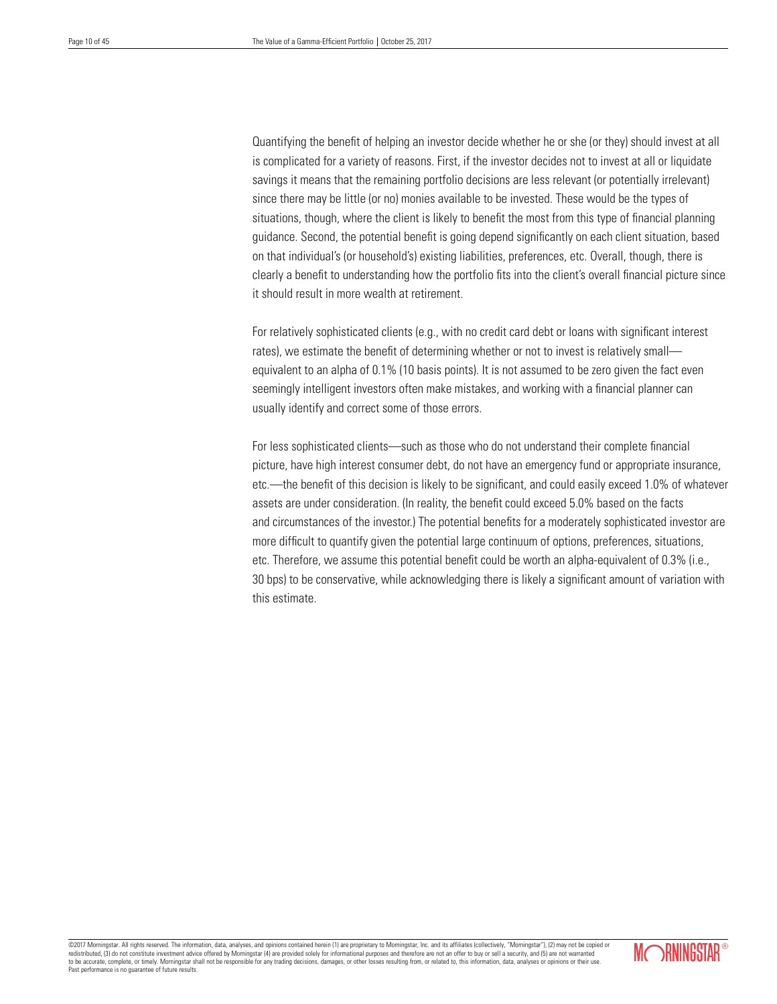Quantifying the benefit of helping an investor decide whether he or she (or they) should invest at all is complicated for a variety of reasons. First, if the investor decides not to invest at all or liquidate savings it means that the remaining portfolio decisions are less relevant (or potentially irrelevant) since there may be little (or no) monies available to be invested. These would be the types of situations, though, where the client is likely to benefit the most from this type of financial planning guidance. Second, the potential benefit is going depend significantly on each client situation, based on that individual's (or household's) existing liabilities, preferences, etc. Overall, though, there is clearly a benefit to understanding how the portfolio fits into the client's overall financial picture since it should result in more wealth at retirement.

For relatively sophisticated clients (e.g., with no credit card debt or loans with significant interest rates), we estimate the benefit of determining whether or not to invest is relatively small equivalent to an alpha of 0.1% (10 basis points). It is not assumed to be zero given the fact even seemingly intelligent investors often make mistakes, and working with a financial planner can usually identify and correct some of those errors.

For less sophisticated clients—such as those who do not understand their complete financial picture, have high interest consumer debt, do not have an emergency fund or appropriate insurance, etc.—the benefit of this decision is likely to be significant, and could easily exceed 1.0% of whatever assets are under consideration. (In reality, the benefit could exceed 5.0% based on the facts and circumstances of the investor.) The potential benefits for a moderately sophisticated investor are more difficult to quantify given the potential large continuum of options, preferences, situations, etc. Therefore, we assume this potential benefit could be worth an alpha-equivalent of 0.3% (i.e., 30 bps) to be conservative, while acknowledging there is likely a significant amount of variation with this estimate.

©2017 Morningstar. All rights reserved. The information, data, analyses, and opinions contained herein (1) are proprietary to Morningstar, Inc. and its affiliates (collectively, "Morningstar"), (2) may not be copied or redistributed, (3) do not constitute investment advice offered by Morningstar (4) are provided solely for informational purposes and therefore are not an offer to buy or sell a security, and (5) are not warranted to be accurate, complete, or timely. Morningstar shall not be responsible for any trading decisions, damages, or other losses resulting from, or related to, this information, data, analyses or opinions or their use. Past performance is no guarantee of future results.

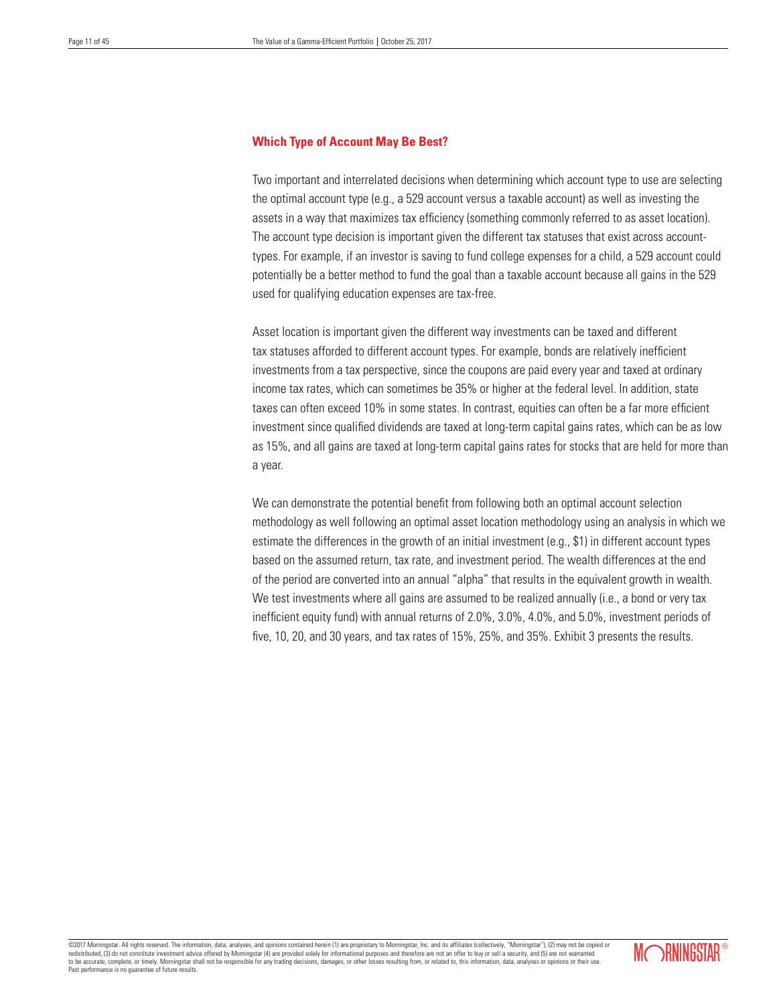# **Which Type of Account May Be Best?**

Two important and interrelated decisions when determining which account type to use are selecting the optimal account type (e.g., a 529 account versus a taxable account) as well as investing the assets in a way that maximizes tax efficiency (something commonly referred to as asset location). The account type decision is important given the different tax statuses that exist across accounttypes. For example, if an investor is saving to fund college expenses for a child, a 529 account could potentially be a better method to fund the goal than a taxable account because all gains in the 529 used for qualifying education expenses are tax-free.

Asset location is important given the different way investments can be taxed and different tax statuses afforded to different account types. For example, bonds are relatively inefficient investments from a tax perspective, since the coupons are paid every year and taxed at ordinary income tax rates, which can sometimes be 35% or higher at the federal level. In addition, state taxes can often exceed 10% in some states. In contrast, equities can often be a far more efficient investment since qualified dividends are taxed at long-term capital gains rates, which can be as low as 15%, and all gains are taxed at long-term capital gains rates for stocks that are held for more than a year.

We can demonstrate the potential benefit from following both an optimal account selection methodology as well following an optimal asset location methodology using an analysis in which we estimate the differences in the growth of an initial investment (e.g., \$1) in different account types based on the assumed return, tax rate, and investment period. The wealth differences at the end of the period are converted into an annual "alpha" that results in the equivalent growth in wealth. We test investments where all gains are assumed to be realized annually (i.e., a bond or very tax inefficient equity fund) with annual returns of 2.0%, 3.0%, 4.0%, and 5.0%, investment periods of five, 10, 20, and 30 years, and tax rates of 15%, 25%, and 35%. Exhibit 3 presents the results.

©2017 Morningstar. All rights reserved. The information, data, analyses, and opinions contained herein (1) are proprietary to Morningstar, Inc. and its affiliates (collectively, "Morningstar"), (2) may not be copied or<br>red redistributed, (3) do not constitute investment advice offered by Morningstar (4) are provided solely for informational purposes and therefore are not an offer to buy or sell at a security, and  $\alpha$ to be accurate, complete, or timely. Morningstar shall not be responsible for any trading decisions, damages, or other losses resulting from, or related to, this information, data, analyses or opinions or their use. Past performance is no guarantee of future results.

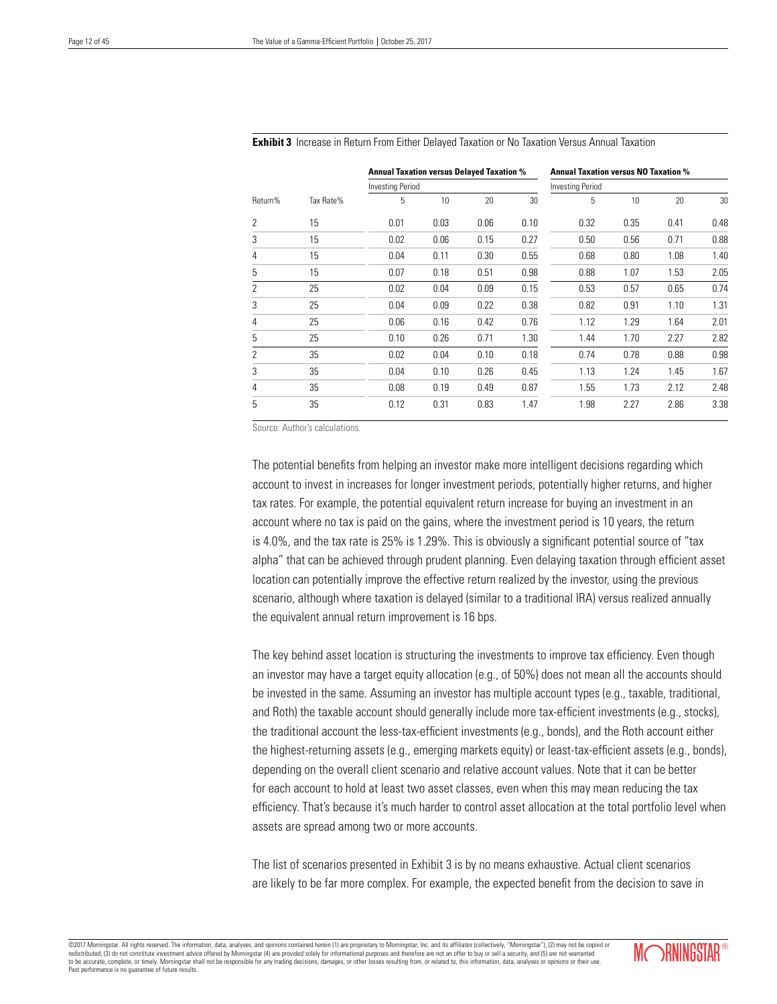|         |           | <b>Annual Taxation versus Delayed Taxation %</b> |      |      | <b>Annual Taxation versus NO Taxation %</b> |                         |      |      |      |  |
|---------|-----------|--------------------------------------------------|------|------|---------------------------------------------|-------------------------|------|------|------|--|
|         |           | <b>Investing Period</b>                          |      |      |                                             | <b>Investing Period</b> |      |      |      |  |
| Return% | Tax Rate% | 5                                                | 10   | 20   | 30                                          | 5                       | 10   | 20   | 30   |  |
| 2       | 15        | 0.01                                             | 0.03 | 0.06 | 0.10                                        | 0.32                    | 0.35 | 0.41 | 0.48 |  |
| 3       | 15        | 0.02                                             | 0.06 | 0.15 | 0.27                                        | 0.50                    | 0.56 | 0.71 | 0.88 |  |
| 4       | 15        | 0.04                                             | 0.11 | 0.30 | 0.55                                        | 0.68                    | 0.80 | 1.08 | 1.40 |  |
| 5       | 15        | 0.07                                             | 0.18 | 0.51 | 0.98                                        | 0.88                    | 1.07 | 1.53 | 2.05 |  |
| 2       | 25        | 0.02                                             | 0.04 | 0.09 | 0.15                                        | 0.53                    | 0.57 | 0.65 | 0.74 |  |
| 3       | 25        | 0.04                                             | 0.09 | 0.22 | 0.38                                        | 0.82                    | 0.91 | 1.10 | 1.31 |  |
| 4       | 25        | 0.06                                             | 0.16 | 0.42 | 0.76                                        | 1.12                    | 1.29 | 1.64 | 2.01 |  |
| 5       | 25        | 0.10                                             | 0.26 | 0.71 | 1.30                                        | 1.44                    | 1.70 | 2.27 | 2.82 |  |
| 2       | 35        | 0.02                                             | 0.04 | 0.10 | 0.18                                        | 0.74                    | 0.78 | 0.88 | 0.98 |  |
| 3       | 35        | 0.04                                             | 0.10 | 0.26 | 0.45                                        | 1.13                    | 1.24 | 1.45 | 1.67 |  |
| 4       | 35        | 0.08                                             | 0.19 | 0.49 | 0.87                                        | 1.55                    | 1.73 | 2.12 | 2.48 |  |
| 5       | 35        | 0.12                                             | 0.31 | 0.83 | 1.47                                        | 1.98                    | 2.27 | 2.86 | 3.38 |  |

#### **Exhibit 3** Increase in Return From Either Delayed Taxation or No Taxation Versus Annual Taxation

Source: Author's calculations.

The potential benefits from helping an investor make more intelligent decisions regarding which account to invest in increases for longer investment periods, potentially higher returns, and higher tax rates. For example, the potential equivalent return increase for buying an investment in an account where no tax is paid on the gains, where the investment period is 10 years, the return is 4.0%, and the tax rate is 25% is 1.29%. This is obviously a significant potential source of "tax alpha" that can be achieved through prudent planning. Even delaying taxation through efficient asset location can potentially improve the effective return realized by the investor, using the previous scenario, although where taxation is delayed (similar to a traditional IRA) versus realized annually the equivalent annual return improvement is 16 bps.

The key behind asset location is structuring the investments to improve tax efficiency. Even though an investor may have a target equity allocation (e.g., of 50%) does not mean all the accounts should be invested in the same. Assuming an investor has multiple account types (e.g., taxable, traditional, and Roth) the taxable account should generally include more tax-efficient investments (e.g., stocks), the traditional account the less-tax-efficient investments (e.g., bonds), and the Roth account either the highest-returning assets (e.g., emerging markets equity) or least-tax-efficient assets (e.g., bonds), depending on the overall client scenario and relative account values. Note that it can be better for each account to hold at least two asset classes, even when this may mean reducing the tax efficiency. That's because it's much harder to control asset allocation at the total portfolio level when assets are spread among two or more accounts.

The list of scenarios presented in Exhibit 3 is by no means exhaustive. Actual client scenarios are likely to be far more complex. For example, the expected benefit from the decision to save in

©2017 Morningstar. All rights reserved. The information, data, analyses, and opinions contained herein (1) are proprietary to Morningstar, Inc. and its affiliates (collectively, "Morningstar"), (2) may not be copied or redistributed, (3) do not constitute investment advice offered by Morningstar (4) are provided solely for informational purposes and therefore are not an offer to buy or sell a security, and (5) are not warranted to be accurate, complete, or timely. Morningstar shall not be responsible for any trading decisions, damages, or other losses resulting from, or related to, this information, data, analyses or opinions or their use. Past performance is no guarantee of future results.

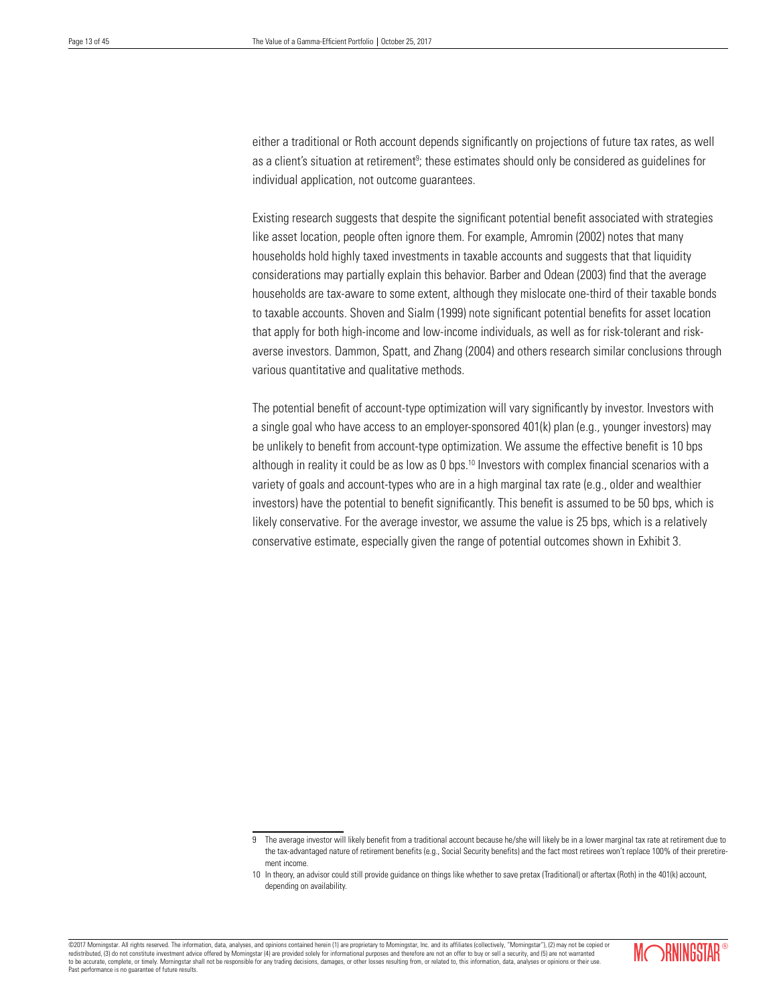either a traditional or Roth account depends significantly on projections of future tax rates, as well as a client's situation at retirement<sup>9</sup>; these estimates should only be considered as guidelines for individual application, not outcome guarantees.

Existing research suggests that despite the significant potential benefit associated with strategies like asset location, people often ignore them. For example, Amromin (2002) notes that many households hold highly taxed investments in taxable accounts and suggests that that liquidity considerations may partially explain this behavior. Barber and Odean (2003) find that the average households are tax-aware to some extent, although they mislocate one-third of their taxable bonds to taxable accounts. Shoven and Sialm (1999) note significant potential benefits for asset location that apply for both high-income and low-income individuals, as well as for risk-tolerant and riskaverse investors. Dammon, Spatt, and Zhang (2004) and others research similar conclusions through various quantitative and qualitative methods.

The potential benefit of account-type optimization will vary significantly by investor. Investors with a single goal who have access to an employer-sponsored 401(k) plan (e.g., younger investors) may be unlikely to benefit from account-type optimization. We assume the effective benefit is 10 bps although in reality it could be as low as 0 bps.<sup>10</sup> Investors with complex financial scenarios with a variety of goals and account-types who are in a high marginal tax rate (e.g., older and wealthier investors) have the potential to benefit significantly. This benefit is assumed to be 50 bps, which is likely conservative. For the average investor, we assume the value is 25 bps, which is a relatively conservative estimate, especially given the range of potential outcomes shown in Exhibit 3.



<sup>9</sup> The average investor will likely benefit from a traditional account because he/she will likely be in a lower marginal tax rate at retirement due to the tax-advantaged nature of retirement benefits (e.g., Social Security benefits) and the fact most retirees won't replace 100% of their preretirement income.

<sup>10</sup> In theory, an advisor could still provide guidance on things like whether to save pretax (Traditional) or aftertax (Roth) in the 401(k) account, depending on availability.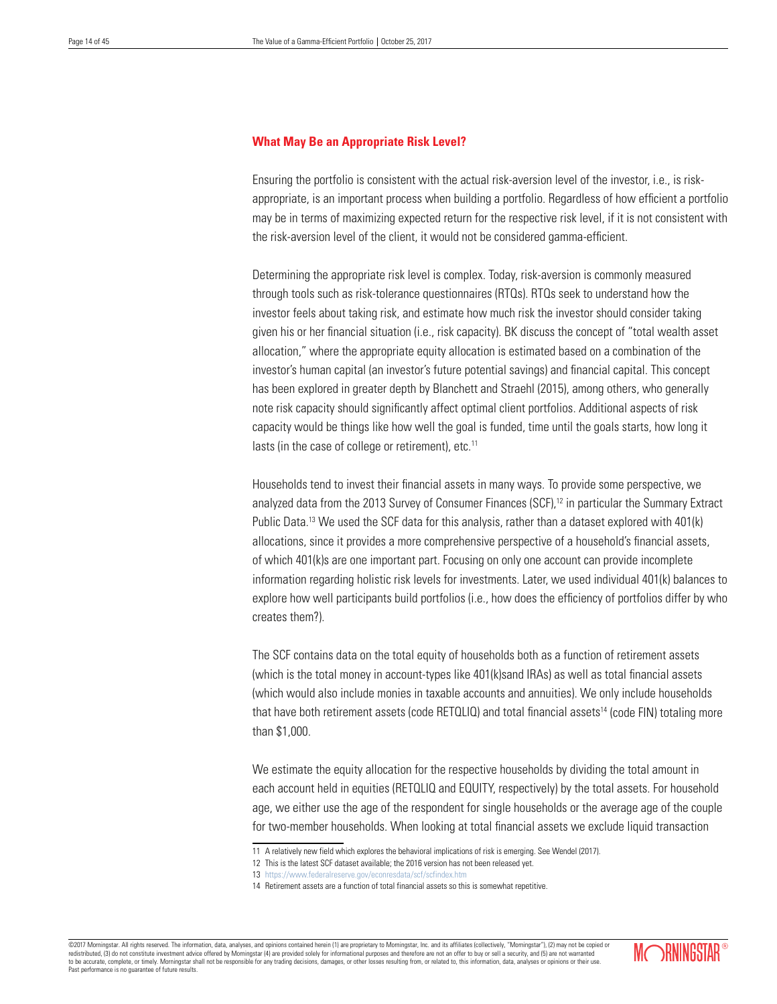# **What May Be an Appropriate Risk Level?**

Ensuring the portfolio is consistent with the actual risk-aversion level of the investor, i.e., is riskappropriate, is an important process when building a portfolio. Regardless of how efficient a portfolio may be in terms of maximizing expected return for the respective risk level, if it is not consistent with the risk-aversion level of the client, it would not be considered gamma-efficient.

Determining the appropriate risk level is complex. Today, risk-aversion is commonly measured through tools such as risk-tolerance questionnaires (RTQs). RTQs seek to understand how the investor feels about taking risk, and estimate how much risk the investor should consider taking given his or her financial situation (i.e., risk capacity). BK discuss the concept of "total wealth asset allocation," where the appropriate equity allocation is estimated based on a combination of the investor's human capital (an investor's future potential savings) and financial capital. This concept has been explored in greater depth by Blanchett and Straehl (2015), among others, who generally note risk capacity should significantly affect optimal client portfolios. Additional aspects of risk capacity would be things like how well the goal is funded, time until the goals starts, how long it lasts (in the case of college or retirement), etc.<sup>11</sup>

Households tend to invest their financial assets in many ways. To provide some perspective, we analyzed data from the 2013 Survey of Consumer Finances (SCF),<sup>12</sup> in particular the Summary Extract Public Data.<sup>13</sup> We used the SCF data for this analysis, rather than a dataset explored with 401(k) allocations, since it provides a more comprehensive perspective of a household's financial assets, of which 401(k)s are one important part. Focusing on only one account can provide incomplete information regarding holistic risk levels for investments. Later, we used individual 401(k) balances to explore how well participants build portfolios (i.e., how does the efficiency of portfolios differ by who creates them?).

The SCF contains data on the total equity of households both as a function of retirement assets (which is the total money in account-types like 401(k)sand IRAs) as well as total financial assets (which would also include monies in taxable accounts and annuities). We only include households that have both retirement assets (code RETQLIQ) and total financial assets14 (code FIN) totaling more than \$1,000.

We estimate the equity allocation for the respective households by dividing the total amount in each account held in equities (RETQLIQ and EQUITY, respectively) by the total assets. For household age, we either use the age of the respondent for single households or the average age of the couple for two-member households. When looking at total financial assets we exclude liquid transaction

©2017 Morningstar. All rights reserved. The information, data, analyses, and opinions contained herein (1) are proprietary to Morningstar, Inc. and its affiliates (collectively, "Morningstar"), (2) may not be copied or redistributed, (3) do not constitute investment advice offered by Morningstar (4) are provided solely for informational purposes and therefore are not an offer to buy or sell a security, and (5) are not warranted and the s to be accurate, complete, or timely. Morningstar shall not be responsible for any trading decisions, damages, or other losses resulting from, or related to, this information, data, analyses or opinions or their use. Past performance is no guarantee of future results.



<sup>11</sup> A relatively new field which explores the behavioral implications of risk is emerging. See Wendel (2017).

<sup>12</sup> This is the latest SCF dataset available; the 2016 version has not been released yet.

<sup>13</sup> https://www.federalreserve.gov/econresdata/scf/scfindex.htm

<sup>14</sup> Retirement assets are a function of total financial assets so this is somewhat repetitive.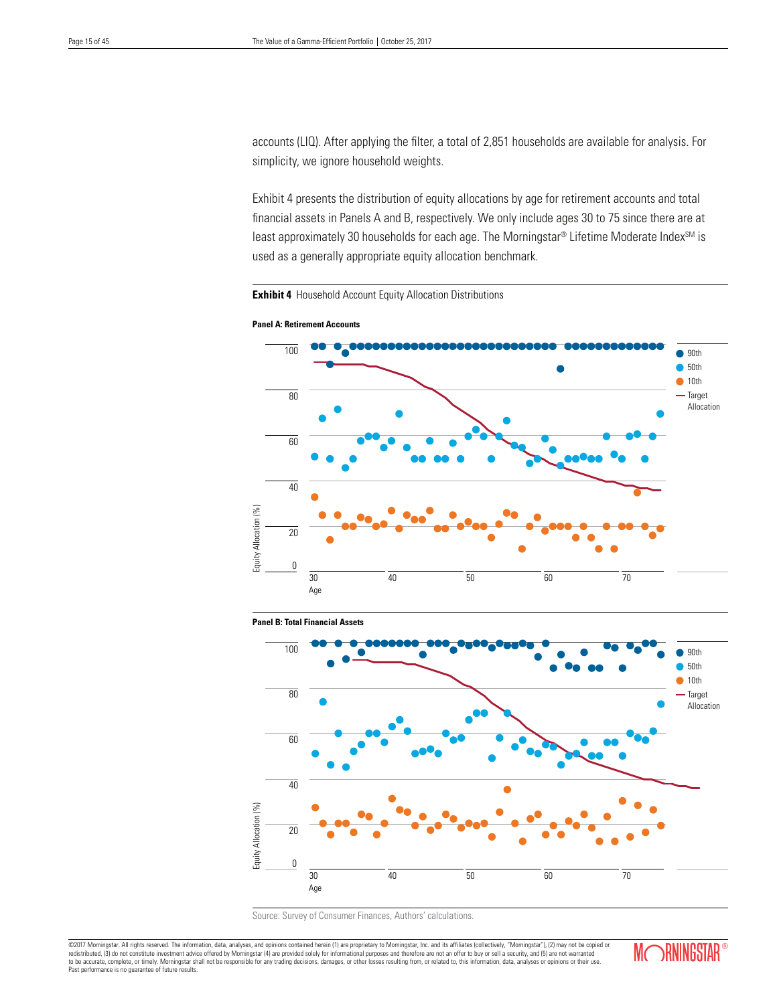accounts (LIQ). After applying the filter, a total of 2,851 households are available for analysis. For simplicity, we ignore household weights.

Exhibit 4 presents the distribution of equity allocations by age for retirement accounts and total financial assets in Panels A and B, respectively. We only include ages 30 to 75 since there are at least approximately 30 households for each age. The Morningstar® Lifetime Moderate Index<sup>SM</sup> is used as a generally appropriate equity allocation benchmark.

**Exhibit 4** Household Account Equity Allocation Distributions









©2017 Morningstar. All rights reserved. The information, data, analyses, and opinions contained herein (1) are proprietary to Morningstar, Inc. and its affiliates (collectively, "Morningstar"), (2) may not be copied or<br>red Past performance is no guarantee of future results.

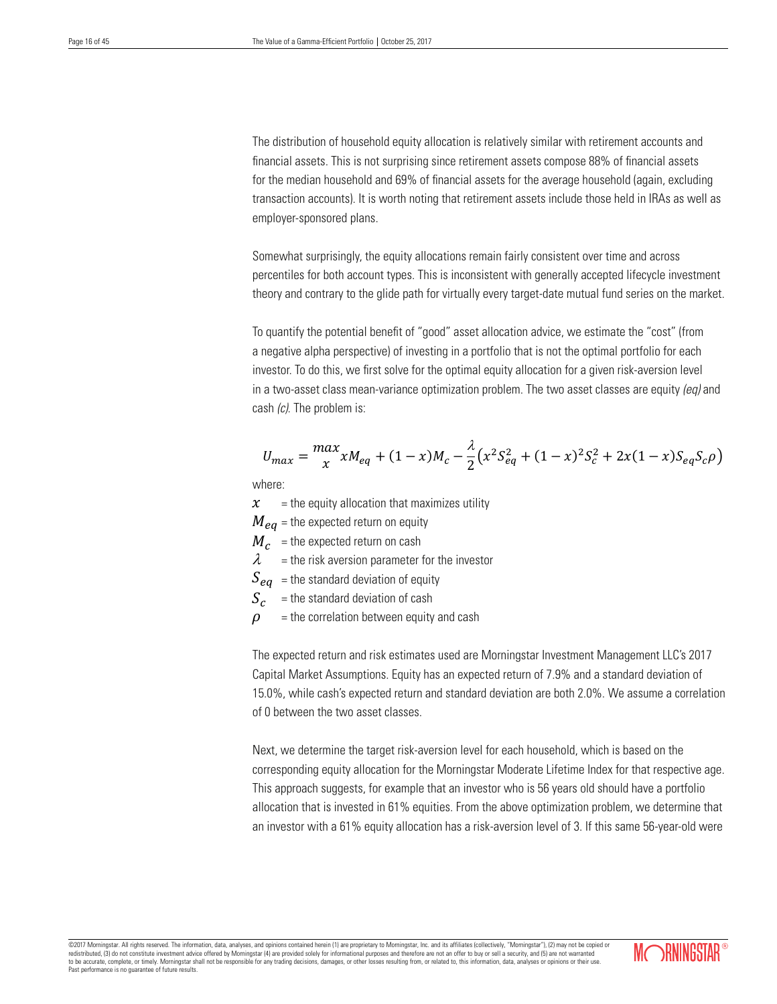The distribution of household equity allocation is relatively similar with retirement accounts and financial assets. This is not surprising since retirement assets compose 88% of financial assets for the median household and 69% of financial assets for the average household (again, excluding transaction accounts). It is worth noting that retirement assets include those held in IRAs as well as employer-sponsored plans.

Somewhat surprisingly, the equity allocations remain fairly consistent over time and across percentiles for both account types. This is inconsistent with generally accepted lifecycle investment theory and contrary to the glide path for virtually every target-date mutual fund series on the market.

To quantify the potential benefit of "good" asset allocation advice, we estimate the "cost" (from a negative alpha perspective) of investing in a portfolio that is not the optimal portfolio for each investor. To do this, we first solve for the optimal equity allocation for a given risk-aversion level in a two-asset class mean-variance optimization problem. The two asset classes are equity *(eq)* and cash *(c)*. The problem is:  $\frac{1}{2}$ 

$$
U_{max} = \frac{max}{x} x M_{eq} + (1 - x) M_c - \frac{\lambda}{2} (x^2 S_{eq}^2 + (1 - x)^2 S_c^2 + 2x(1 - x) S_{eq} S_c \rho)
$$

where:

 $x =$  the equity allocation that maximizes utility

 $M_{eq}$  = the expected return on equity

 $M_c$  = the expected return on cash

 $\lambda$  = the risk aversion parameter for the investor

 $S_{eq}$  = the standard deviation of equity

 $S_c$  = the standard deviation of cash

 $\rho$  = the correlation between equity and cash = the correlation between equity and cash

> The expected return and risk estimates used are Morningstar Investment Management LLC's 2017 Capital Market Assumptions. Equity has an expected return of 7.9% and a standard deviation of 15.0%, while cash's expected return and standard deviation are both 2.0%. We assume a correlation of 0 between the two asset classes.

> Next, we determine the target risk-aversion level for each household, which is based on the corresponding equity allocation for the Morningstar Moderate Lifetime Index for that respective age. This approach suggests, for example that an investor who is 56 years old should have a portfolio allocation that is invested in 61% equities. From the above optimization problem, we determine that an investor with a 61% equity allocation has a risk-aversion level of 3. If this same 56-year-old were

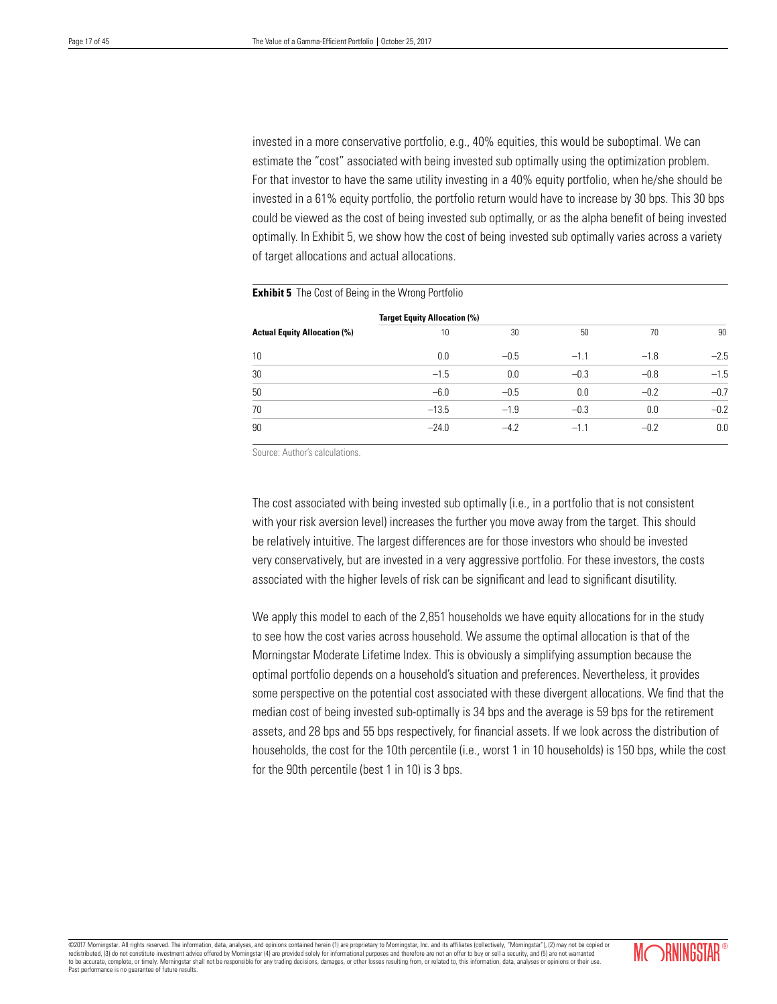invested in a more conservative portfolio, e.g., 40% equities, this would be suboptimal. We can estimate the "cost" associated with being invested sub optimally using the optimization problem. For that investor to have the same utility investing in a 40% equity portfolio, when he/she should be invested in a 61% equity portfolio, the portfolio return would have to increase by 30 bps. This 30 bps could be viewed as the cost of being invested sub optimally, or as the alpha benefit of being invested optimally. In Exhibit 5, we show how the cost of being invested sub optimally varies across a variety of target allocations and actual allocations.

|                                     | <b>Target Equity Allocation (%)</b> |        |        |        |        |  |  |  |  |
|-------------------------------------|-------------------------------------|--------|--------|--------|--------|--|--|--|--|
| <b>Actual Equity Allocation (%)</b> | 10                                  | 30     | 50     | 70     | 90     |  |  |  |  |
| 10                                  | 0.0                                 | $-0.5$ | $-1.1$ | $-1.8$ | $-2.5$ |  |  |  |  |
| 30                                  | $-1.5$                              | 0.0    | $-0.3$ | $-0.8$ | $-1.5$ |  |  |  |  |
| 50                                  | $-6.0$                              | $-0.5$ | 0.0    | $-0.2$ | $-0.7$ |  |  |  |  |
| 70                                  | $-13.5$                             | $-1.9$ | $-0.3$ | 0.0    | $-0.2$ |  |  |  |  |
| 90                                  | $-24.0$                             | $-4.2$ | $-1.1$ | $-0.2$ | 0.0    |  |  |  |  |

#### **Exhibit 5** The Cost of Being in the Wrong Portfolio

Source: Author's calculations.

The cost associated with being invested sub optimally (i.e., in a portfolio that is not consistent with your risk aversion level) increases the further you move away from the target. This should be relatively intuitive. The largest differences are for those investors who should be invested very conservatively, but are invested in a very aggressive portfolio. For these investors, the costs associated with the higher levels of risk can be significant and lead to significant disutility.

We apply this model to each of the 2,851 households we have equity allocations for in the study to see how the cost varies across household. We assume the optimal allocation is that of the Morningstar Moderate Lifetime Index. This is obviously a simplifying assumption because the optimal portfolio depends on a household's situation and preferences. Nevertheless, it provides some perspective on the potential cost associated with these divergent allocations. We find that the median cost of being invested sub-optimally is 34 bps and the average is 59 bps for the retirement assets, and 28 bps and 55 bps respectively, for financial assets. If we look across the distribution of households, the cost for the 10th percentile (i.e., worst 1 in 10 households) is 150 bps, while the cost for the 90th percentile (best 1 in 10) is 3 bps.

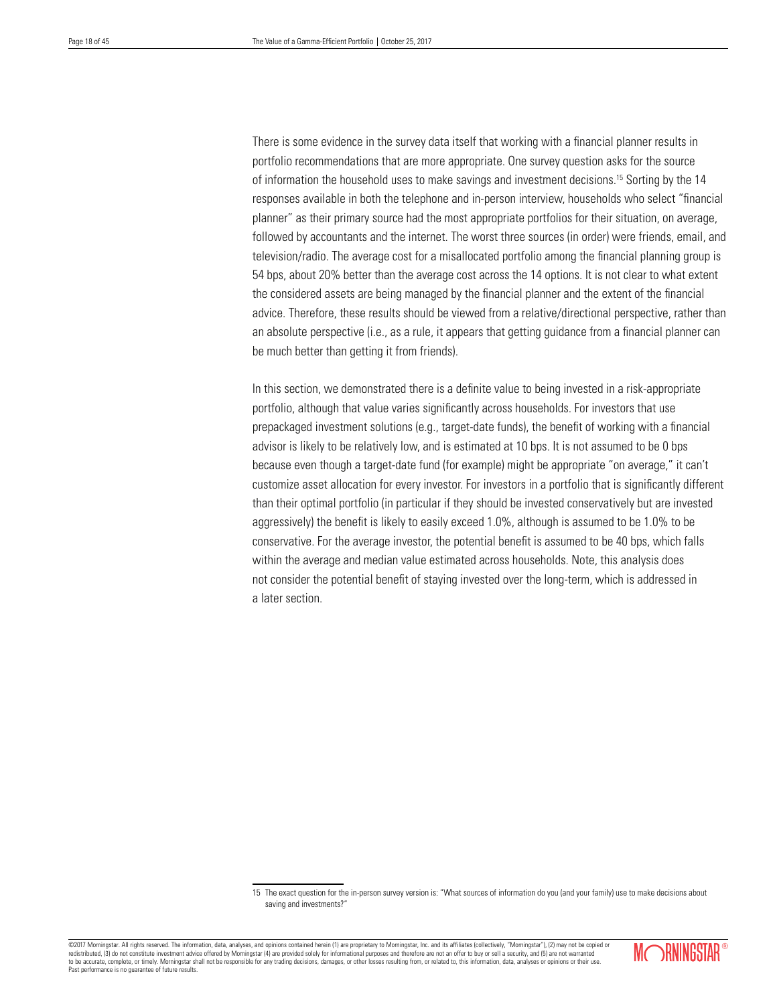There is some evidence in the survey data itself that working with a financial planner results in portfolio recommendations that are more appropriate. One survey question asks for the source of information the household uses to make savings and investment decisions.15 Sorting by the 14 responses available in both the telephone and in-person interview, households who select "financial planner" as their primary source had the most appropriate portfolios for their situation, on average, followed by accountants and the internet. The worst three sources (in order) were friends, email, and television/radio. The average cost for a misallocated portfolio among the financial planning group is 54 bps, about 20% better than the average cost across the 14 options. It is not clear to what extent the considered assets are being managed by the financial planner and the extent of the financial advice. Therefore, these results should be viewed from a relative/directional perspective, rather than an absolute perspective (i.e., as a rule, it appears that getting guidance from a financial planner can be much better than getting it from friends).

In this section, we demonstrated there is a definite value to being invested in a risk-appropriate portfolio, although that value varies significantly across households. For investors that use prepackaged investment solutions (e.g., target-date funds), the benefit of working with a financial advisor is likely to be relatively low, and is estimated at 10 bps. It is not assumed to be 0 bps because even though a target-date fund (for example) might be appropriate "on average," it can't customize asset allocation for every investor. For investors in a portfolio that is significantly different than their optimal portfolio (in particular if they should be invested conservatively but are invested aggressively) the benefit is likely to easily exceed 1.0%, although is assumed to be 1.0% to be conservative. For the average investor, the potential benefit is assumed to be 40 bps, which falls within the average and median value estimated across households. Note, this analysis does not consider the potential benefit of staying invested over the long-term, which is addressed in a later section.

<sup>©2017</sup> Morningstar. All rights reserved. The information, data, analyses, and opinions contained herein (1) are proprietary to Morningstar, Inc. and its affiliates (collectively, "Morningstar"), (2) may not be copied or redistributed, (3) do not constitute investment advice offered by Morningstar (4) are provided solely for informational purposes and therefore are not an offer to buy or sell a security, and (5) are not warranted to be accurate, complete, or timely. Morningstar shall not be responsible for any trading decisions, damages, or other losses resulting from, or related to, this information, data, analyses or opinions or their use. Past performance is no guarantee of future results.



<sup>15</sup> The exact question for the in-person survey version is: "What sources of information do you (and your family) use to make decisions about saving and investments?"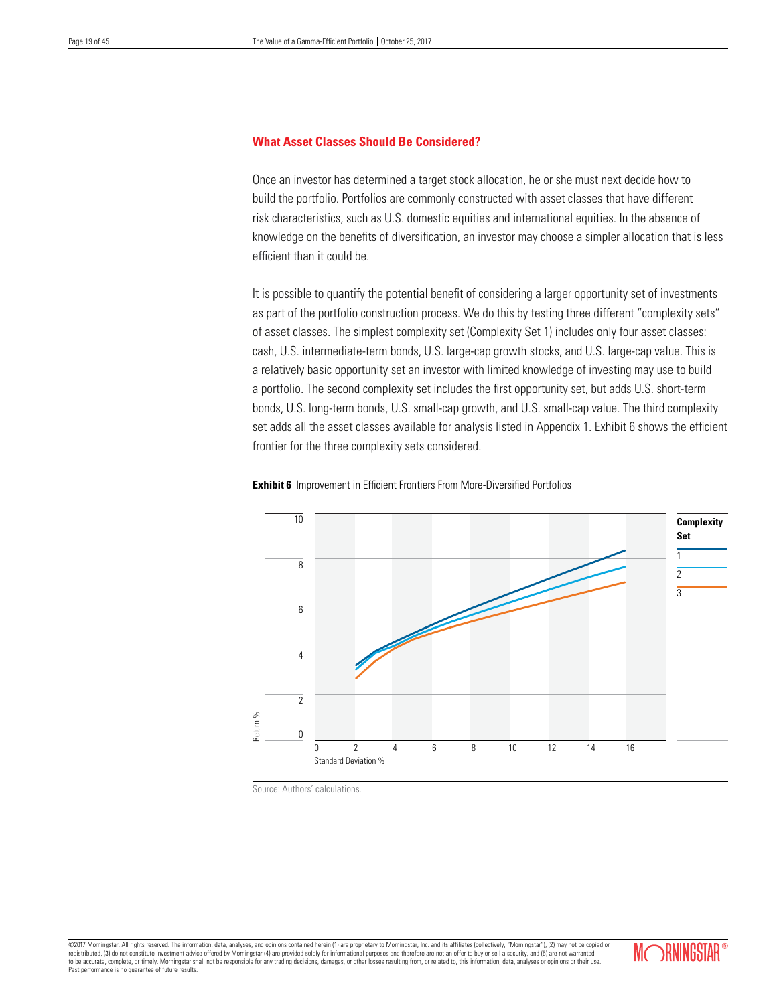# **What Asset Classes Should Be Considered?**

Once an investor has determined a target stock allocation, he or she must next decide how to build the portfolio. Portfolios are commonly constructed with asset classes that have different risk characteristics, such as U.S. domestic equities and international equities. In the absence of knowledge on the benefits of diversification, an investor may choose a simpler allocation that is less efficient than it could be.

It is possible to quantify the potential benefit of considering a larger opportunity set of investments as part of the portfolio construction process. We do this by testing three different "complexity sets" of asset classes. The simplest complexity set (Complexity Set 1) includes only four asset classes: cash, U.S. intermediate-term bonds, U.S. large-cap growth stocks, and U.S. large-cap value. This is a relatively basic opportunity set an investor with limited knowledge of investing may use to build a portfolio. The second complexity set includes the first opportunity set, but adds U.S. short-term bonds, U.S. long-term bonds, U.S. small-cap growth, and U.S. small-cap value. The third complexity set adds all the asset classes available for analysis listed in Appendix 1. Exhibit 6 shows the efficient frontier for the three complexity sets considered.





Source: Authors' calculations.

©2017 Momingstar. All rights reserved. The information, data, analyses, and opinions contained herein (1) are proprietary to Momingstar, Inc. and its affiliates (collectively, "Morningstar"), (2) may not be copied or<br>redis to be accurate, complete, or timely. Morningstar shall not be responsible for any trading decisions, damages, or other losses resulting from, or related to, this information, data, analyses or opinions or their use. Past performance is no guarantee of future results.

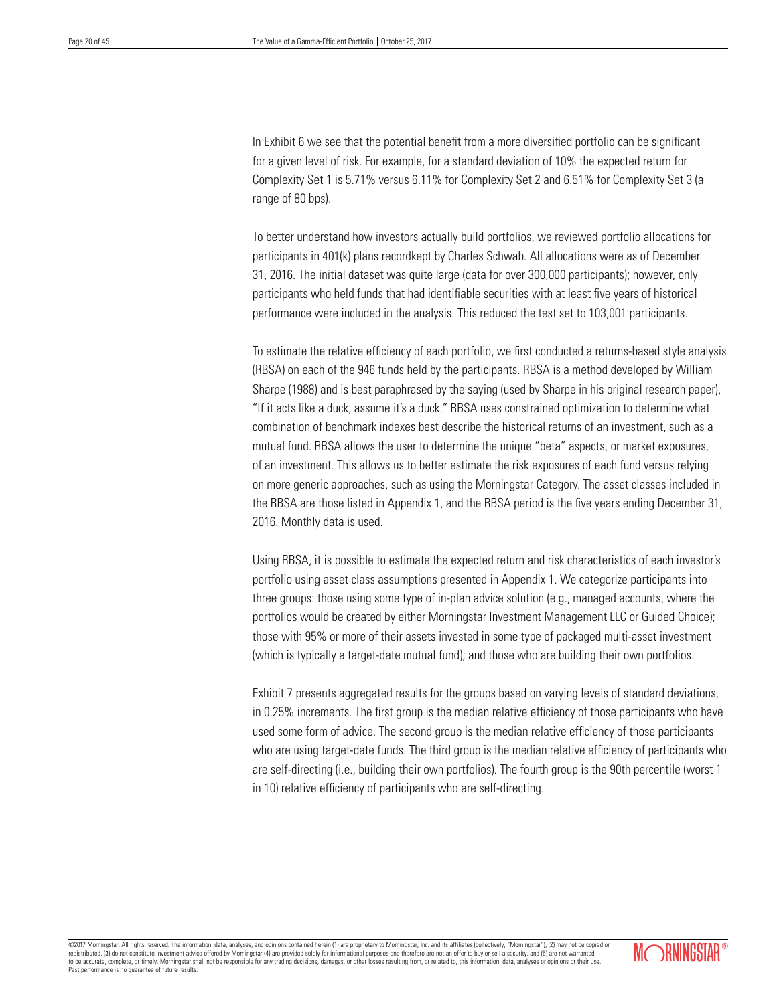In Exhibit 6 we see that the potential benefit from a more diversified portfolio can be significant for a given level of risk. For example, for a standard deviation of 10% the expected return for Complexity Set 1 is 5.71% versus 6.11% for Complexity Set 2 and 6.51% for Complexity Set 3 (a range of 80 bps).

To better understand how investors actually build portfolios, we reviewed portfolio allocations for participants in 401(k) plans recordkept by Charles Schwab. All allocations were as of December 31, 2016. The initial dataset was quite large (data for over 300,000 participants); however, only participants who held funds that had identifiable securities with at least five years of historical performance were included in the analysis. This reduced the test set to 103,001 participants.

To estimate the relative efficiency of each portfolio, we first conducted a returns-based style analysis (RBSA) on each of the 946 funds held by the participants. RBSA is a method developed by William Sharpe (1988) and is best paraphrased by the saying (used by Sharpe in his original research paper), "If it acts like a duck, assume it's a duck." RBSA uses constrained optimization to determine what combination of benchmark indexes best describe the historical returns of an investment, such as a mutual fund. RBSA allows the user to determine the unique "beta" aspects, or market exposures, of an investment. This allows us to better estimate the risk exposures of each fund versus relying on more generic approaches, such as using the Morningstar Category. The asset classes included in the RBSA are those listed in Appendix 1, and the RBSA period is the five years ending December 31, 2016. Monthly data is used.

Using RBSA, it is possible to estimate the expected return and risk characteristics of each investor's portfolio using asset class assumptions presented in Appendix 1. We categorize participants into three groups: those using some type of in-plan advice solution (e.g., managed accounts, where the portfolios would be created by either Morningstar Investment Management LLC or Guided Choice); those with 95% or more of their assets invested in some type of packaged multi-asset investment (which is typically a target-date mutual fund); and those who are building their own portfolios.

Exhibit 7 presents aggregated results for the groups based on varying levels of standard deviations, in 0.25% increments. The first group is the median relative efficiency of those participants who have used some form of advice. The second group is the median relative efficiency of those participants who are using target-date funds. The third group is the median relative efficiency of participants who are self-directing (i.e., building their own portfolios). The fourth group is the 90th percentile (worst 1 in 10) relative efficiency of participants who are self-directing.

©2017 Morningstar. All rights reserved. The information, data, analyses, and opinions contained herein (1) are proprietary to Morningstar, Inc. and its affiliates (collectively, "Morningstar"), (2) may not be copied or<br>red redistributed, (3) do not constitute investment advice offered by Morningstar (4) are provided solely for informational purposes and therefore are not an offer to buy or sell at a security, and  $\alpha$ to be accurate, complete, or timely. Morningstar shall not be responsible for any trading decisions, damages, or other losses resulting from, or related to, this information, data, analyses or opinions or their use. Past performance is no guarantee of future results.

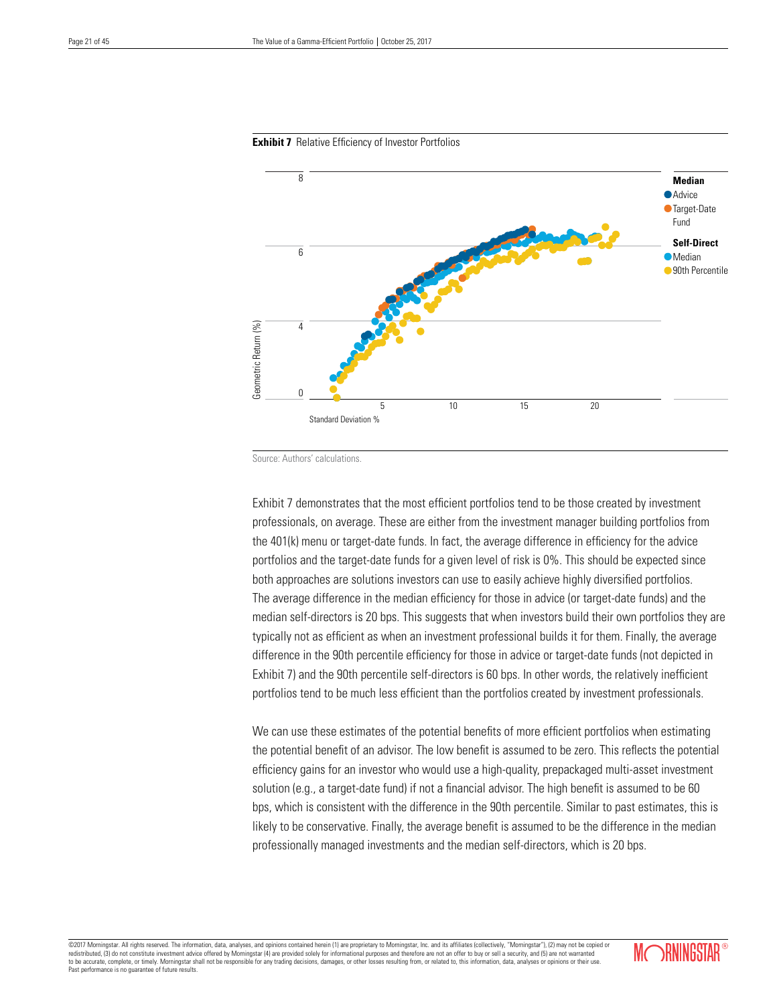

#### **Exhibit 7** Relative Efficiency of Investor Portfolios

Source: Authors' calculations.

Exhibit 7 demonstrates that the most efficient portfolios tend to be those created by investment professionals, on average. These are either from the investment manager building portfolios from the 401(k) menu or target-date funds. In fact, the average difference in efficiency for the advice portfolios and the target-date funds for a given level of risk is 0%. This should be expected since both approaches are solutions investors can use to easily achieve highly diversified portfolios. The average difference in the median efficiency for those in advice (or target-date funds) and the median self-directors is 20 bps. This suggests that when investors build their own portfolios they are typically not as efficient as when an investment professional builds it for them. Finally, the average difference in the 90th percentile efficiency for those in advice or target-date funds (not depicted in Exhibit 7) and the 90th percentile self-directors is 60 bps. In other words, the relatively inefficient portfolios tend to be much less efficient than the portfolios created by investment professionals.

We can use these estimates of the potential benefits of more efficient portfolios when estimating the potential benefit of an advisor. The low benefit is assumed to be zero. This reflects the potential efficiency gains for an investor who would use a high-quality, prepackaged multi-asset investment solution (e.g., a target-date fund) if not a financial advisor. The high benefit is assumed to be 60 bps, which is consistent with the difference in the 90th percentile. Similar to past estimates, this is likely to be conservative. Finally, the average benefit is assumed to be the difference in the median professionally managed investments and the median self-directors, which is 20 bps.

©2017 Morningstar. All rights reserved. The information, data, analyses, and opinions contained herein (1) are proprietary to Morningstar, Inc. and its affiliates (collectively, "Morningstar"), (2) may not be copied or red redistributed, (3) do not constitute investment advice offered by Morningstar (4) are provided solely for informational purposes and therefore are not an offer to buy or security, and  $\alpha$ to be accurate, complete, or timely. Morningstar shall not be responsible for any trading decisions, damages, or other losses resulting from, or related to, this information, data, analyses or opinions or their use. Past performance is no guarantee of future results.

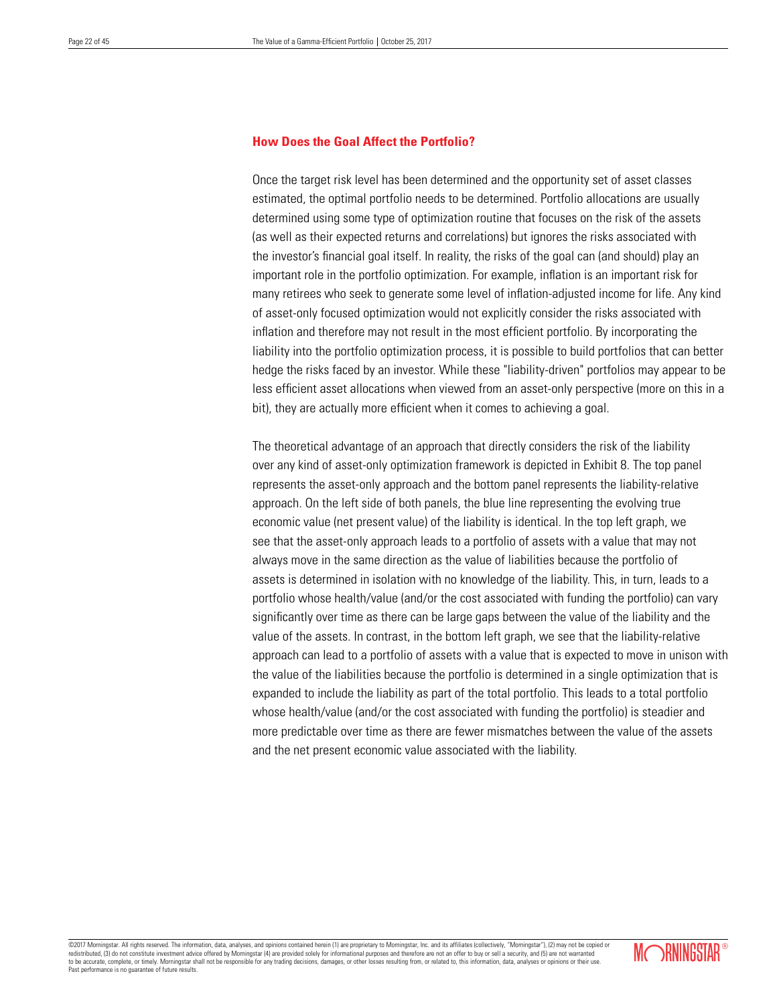# **How Does the Goal Affect the Portfolio?**

Once the target risk level has been determined and the opportunity set of asset classes estimated, the optimal portfolio needs to be determined. Portfolio allocations are usually determined using some type of optimization routine that focuses on the risk of the assets (as well as their expected returns and correlations) but ignores the risks associated with the investor's financial goal itself. In reality, the risks of the goal can (and should) play an important role in the portfolio optimization. For example, inflation is an important risk for many retirees who seek to generate some level of inflation-adjusted income for life. Any kind of asset-only focused optimization would not explicitly consider the risks associated with inflation and therefore may not result in the most efficient portfolio. By incorporating the liability into the portfolio optimization process, it is possible to build portfolios that can better hedge the risks faced by an investor. While these "liability-driven" portfolios may appear to be less efficient asset allocations when viewed from an asset-only perspective (more on this in a bit), they are actually more efficient when it comes to achieving a goal.

The theoretical advantage of an approach that directly considers the risk of the liability over any kind of asset-only optimization framework is depicted in Exhibit 8. The top panel represents the asset-only approach and the bottom panel represents the liability-relative approach. On the left side of both panels, the blue line representing the evolving true economic value (net present value) of the liability is identical. In the top left graph, we see that the asset-only approach leads to a portfolio of assets with a value that may not always move in the same direction as the value of liabilities because the portfolio of assets is determined in isolation with no knowledge of the liability. This, in turn, leads to a portfolio whose health/value (and/or the cost associated with funding the portfolio) can vary significantly over time as there can be large gaps between the value of the liability and the value of the assets. In contrast, in the bottom left graph, we see that the liability-relative approach can lead to a portfolio of assets with a value that is expected to move in unison with the value of the liabilities because the portfolio is determined in a single optimization that is expanded to include the liability as part of the total portfolio. This leads to a total portfolio whose health/value (and/or the cost associated with funding the portfolio) is steadier and more predictable over time as there are fewer mismatches between the value of the assets and the net present economic value associated with the liability.

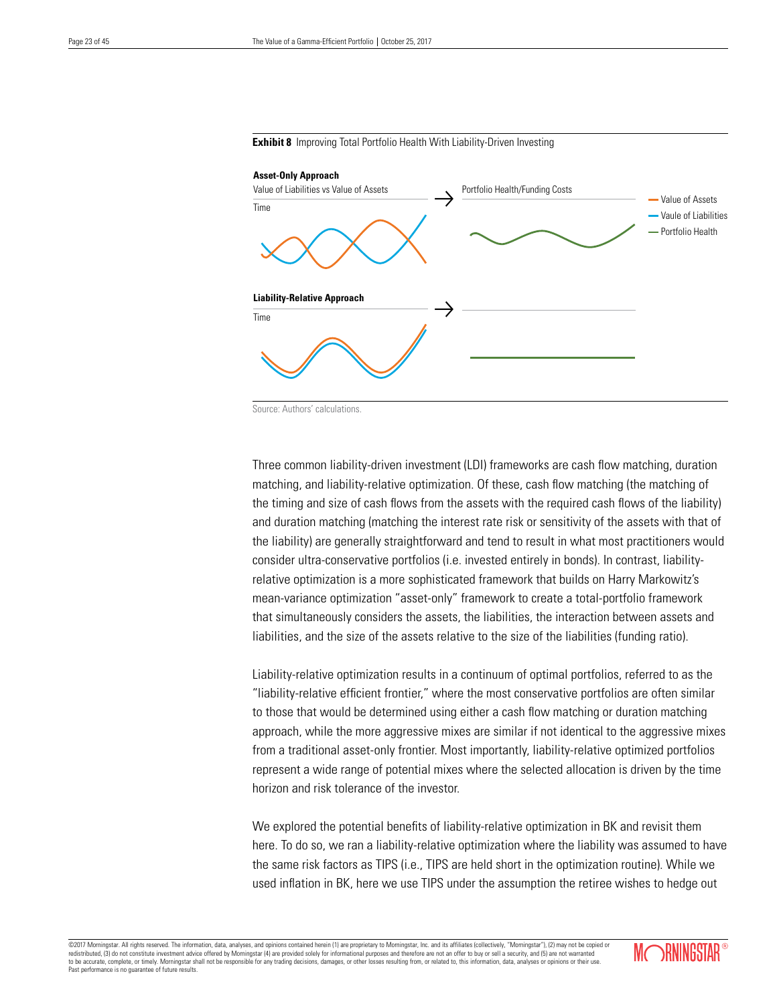

**Exhibit 8** Improving Total Portfolio Health With Liability-Driven Investing

Source: Authors' calculations.

Three common liability-driven investment (LDI) frameworks are cash flow matching, duration matching, and liability-relative optimization. Of these, cash flow matching (the matching of the timing and size of cash flows from the assets with the required cash flows of the liability) and duration matching (matching the interest rate risk or sensitivity of the assets with that of the liability) are generally straightforward and tend to result in what most practitioners would consider ultra-conservative portfolios (i.e. invested entirely in bonds). In contrast, liabilityrelative optimization is a more sophisticated framework that builds on Harry Markowitz's mean-variance optimization "asset-only" framework to create a total-portfolio framework that simultaneously considers the assets, the liabilities, the interaction between assets and liabilities, and the size of the assets relative to the size of the liabilities (funding ratio).

Liability-relative optimization results in a continuum of optimal portfolios, referred to as the "liability-relative efficient frontier," where the most conservative portfolios are often similar to those that would be determined using either a cash flow matching or duration matching approach, while the more aggressive mixes are similar if not identical to the aggressive mixes from a traditional asset-only frontier. Most importantly, liability-relative optimized portfolios represent a wide range of potential mixes where the selected allocation is driven by the time horizon and risk tolerance of the investor.

We explored the potential benefits of liability-relative optimization in BK and revisit them here. To do so, we ran a liability-relative optimization where the liability was assumed to have the same risk factors as TIPS (i.e., TIPS are held short in the optimization routine). While we used inflation in BK, here we use TIPS under the assumption the retiree wishes to hedge out

©2017 Morningstar. All rights reserved. The information, data, analyses, and opinions contained herein (1) are proprietary to Morningstar, Inc. and its affiliates (collectively, "Morningstar"), (2) may not be copied or red redistributed, (3) do not constitute investment advice offered by Morningstar (4) are provided solely for informational purposes and therefore are not an offer to buy or security, and  $\alpha$ to be accurate, complete, or timely. Morningstar shall not be responsible for any trading decisions, damages, or other losses resulting from, or related to, this information, data, analyses or opinions or their use. Past performance is no guarantee of future results.

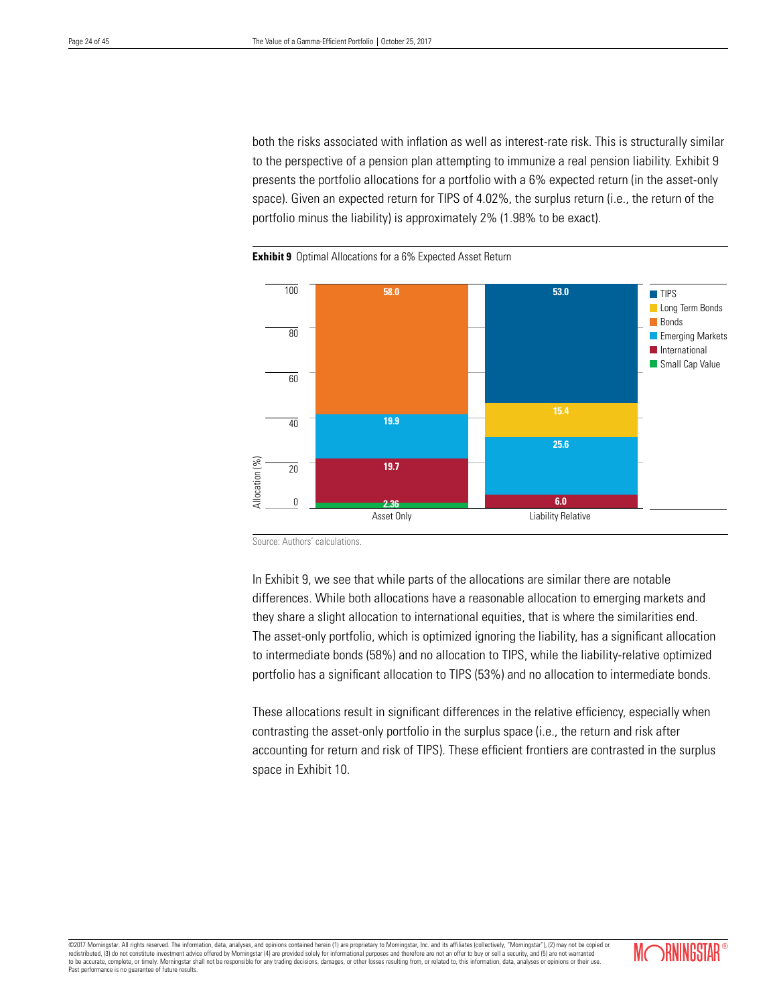both the risks associated with inflation as well as interest-rate risk. This is structurally similar to the perspective of a pension plan attempting to immunize a real pension liability. Exhibit 9 presents the portfolio allocations for a portfolio with a 6% expected return (in the asset-only space). Given an expected return for TIPS of 4.02%, the surplus return (i.e., the return of the portfolio minus the liability) is approximately 2% (1.98% to be exact).



**Exhibit 9** Optimal Allocations for a 6% Expected Asset Return

Source: Authors' calculations.

In Exhibit 9, we see that while parts of the allocations are similar there are notable differences. While both allocations have a reasonable allocation to emerging markets and they share a slight allocation to international equities, that is where the similarities end. The asset-only portfolio, which is optimized ignoring the liability, has a significant allocation to intermediate bonds (58%) and no allocation to TIPS, while the liability-relative optimized portfolio has a significant allocation to TIPS (53%) and no allocation to intermediate bonds.

These allocations result in significant differences in the relative efficiency, especially when contrasting the asset-only portfolio in the surplus space (i.e., the return and risk after accounting for return and risk of TIPS). These efficient frontiers are contrasted in the surplus space in Exhibit 10.

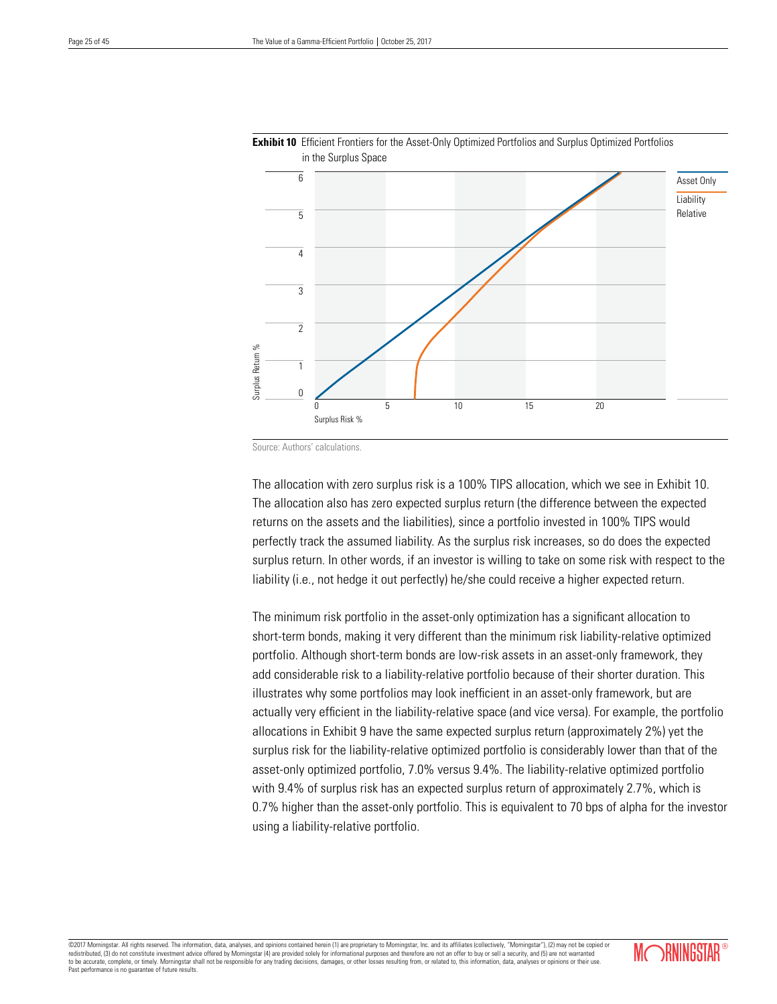



Source: Authors' calculations.

The allocation with zero surplus risk is a 100% TIPS allocation, which we see in Exhibit 10. The allocation also has zero expected surplus return (the difference between the expected returns on the assets and the liabilities), since a portfolio invested in 100% TIPS would perfectly track the assumed liability. As the surplus risk increases, so do does the expected surplus return. In other words, if an investor is willing to take on some risk with respect to the liability (i.e., not hedge it out perfectly) he/she could receive a higher expected return.

The minimum risk portfolio in the asset-only optimization has a significant allocation to short-term bonds, making it very different than the minimum risk liability-relative optimized portfolio. Although short-term bonds are low-risk assets in an asset-only framework, they add considerable risk to a liability-relative portfolio because of their shorter duration. This illustrates why some portfolios may look inefficient in an asset-only framework, but are actually very efficient in the liability-relative space (and vice versa). For example, the portfolio allocations in Exhibit 9 have the same expected surplus return (approximately 2%) yet the surplus risk for the liability-relative optimized portfolio is considerably lower than that of the asset-only optimized portfolio, 7.0% versus 9.4%. The liability-relative optimized portfolio with 9.4% of surplus risk has an expected surplus return of approximately 2.7%, which is 0.7% higher than the asset-only portfolio. This is equivalent to 70 bps of alpha for the investor using a liability-relative portfolio.

©2017 Morningstar. All rights reserved. The information, data, analyses, and opinions contained herein (1) are proprietary to Morningstar, Inc. and its affiliates (collectively, "Morningstar"), (2) may not be copied or red redistributed, (3) do not constitute investment advice offered by Morningstar (4) are provided solely for informational purposes and therefore are not an offer to buy or security, and  $\alpha$ to be accurate, complete, or timely. Morningstar shall not be responsible for any trading decisions, damages, or other losses resulting from, or related to, this information, data, analyses or opinions or their use. Past performance is no guarantee of future results.

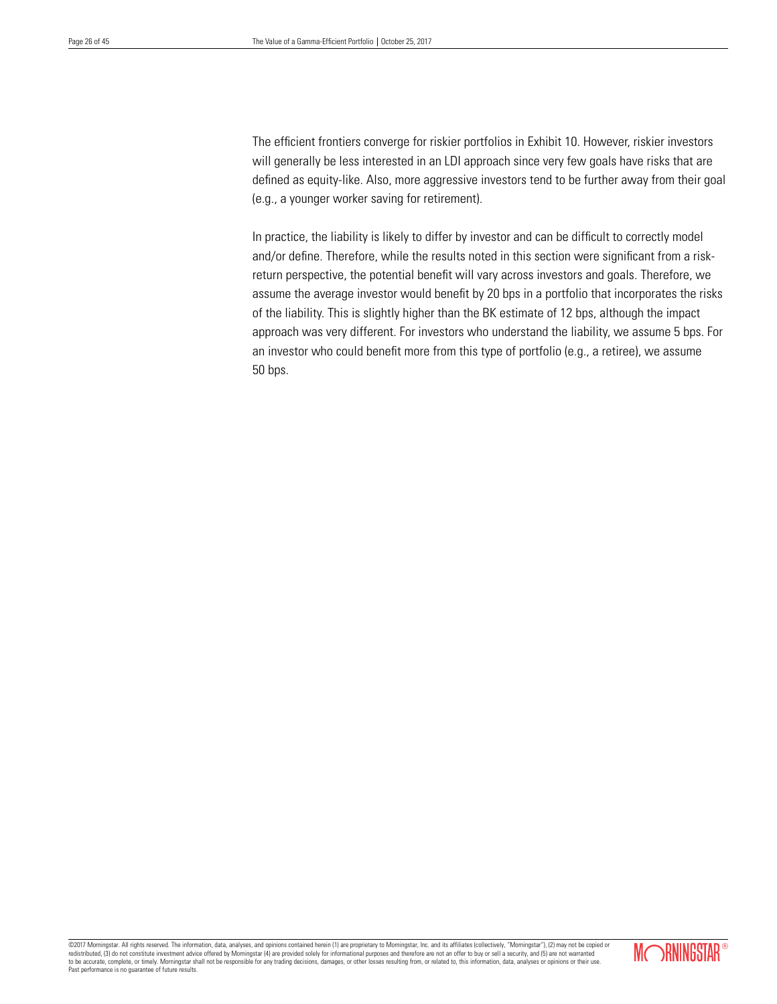The efficient frontiers converge for riskier portfolios in Exhibit 10. However, riskier investors will generally be less interested in an LDI approach since very few goals have risks that are defined as equity-like. Also, more aggressive investors tend to be further away from their goal (e.g., a younger worker saving for retirement).

In practice, the liability is likely to differ by investor and can be difficult to correctly model and/or define. Therefore, while the results noted in this section were significant from a riskreturn perspective, the potential benefit will vary across investors and goals. Therefore, we assume the average investor would benefit by 20 bps in a portfolio that incorporates the risks of the liability. This is slightly higher than the BK estimate of 12 bps, although the impact approach was very different. For investors who understand the liability, we assume 5 bps. For an investor who could benefit more from this type of portfolio (e.g., a retiree), we assume 50 bps.

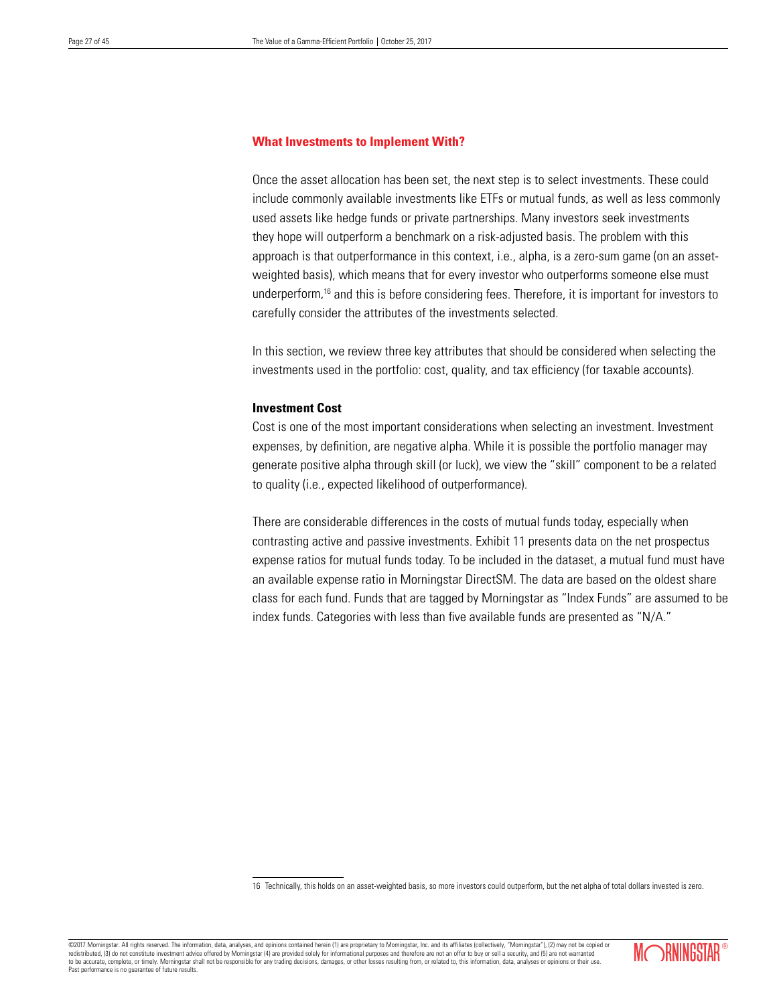# **What Investments to Implement With?**

Once the asset allocation has been set, the next step is to select investments. These could include commonly available investments like ETFs or mutual funds, as well as less commonly used assets like hedge funds or private partnerships. Many investors seek investments they hope will outperform a benchmark on a risk-adjusted basis. The problem with this approach is that outperformance in this context, i.e., alpha, is a zero-sum game (on an assetweighted basis), which means that for every investor who outperforms someone else must underperform,16 and this is before considering fees. Therefore, it is important for investors to carefully consider the attributes of the investments selected.

In this section, we review three key attributes that should be considered when selecting the investments used in the portfolio: cost, quality, and tax efficiency (for taxable accounts).

# **Investment Cost**

Cost is one of the most important considerations when selecting an investment. Investment expenses, by definition, are negative alpha. While it is possible the portfolio manager may generate positive alpha through skill (or luck), we view the "skill" component to be a related to quality (i.e., expected likelihood of outperformance).

There are considerable differences in the costs of mutual funds today, especially when contrasting active and passive investments. Exhibit 11 presents data on the net prospectus expense ratios for mutual funds today. To be included in the dataset, a mutual fund must have an available expense ratio in Morningstar DirectSM. The data are based on the oldest share class for each fund. Funds that are tagged by Morningstar as "Index Funds" are assumed to be index funds. Categories with less than five available funds are presented as "N/A."

16 Technically, this holds on an asset-weighted basis, so more investors could outperform, but the net alpha of total dollars invested is zero.

©2017 Morningstar. All rights reserved. The information, data, analyses, and opinions contained herein (1) are proprietary to Morningstar, Inc. and its affiliates (collectively, "Morningstar"), (2) may not be copied or redistributed, (3) do not constitute investment advice offered by Morningstar (4) are provided solely for informational purposes and therefore are not an offer to buy or sell a security, and (5) are not warranted and the s to be accurate, complete, or timely. Morningstar shall not be responsible for any trading decisions, damages, or other losses resulting from, or related to, this information, data, analyses or opinions or their use. Past performance is no guarantee of future results.

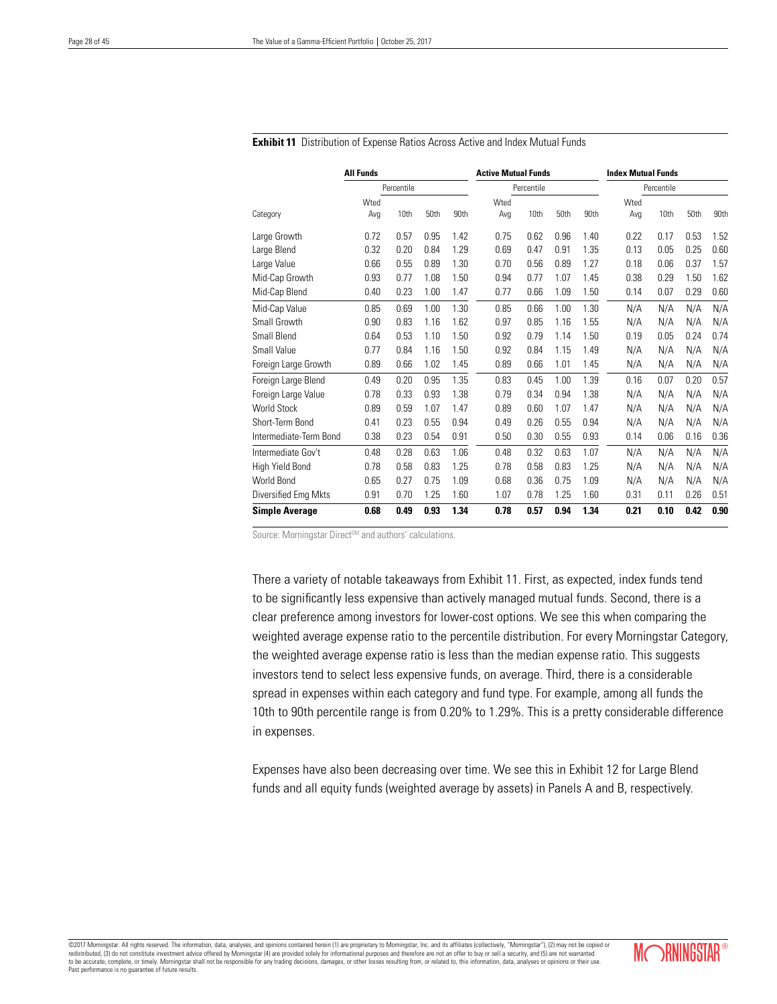|                        | <b>All Funds</b> |            |      |      | <b>Active Mutual Funds</b> |            |      |      | <b>Index Mutual Funds</b> |            |      |      |
|------------------------|------------------|------------|------|------|----------------------------|------------|------|------|---------------------------|------------|------|------|
|                        |                  | Percentile |      |      |                            | Percentile |      |      |                           | Percentile |      |      |
|                        | Wted             |            |      |      | Wted                       |            |      |      | Wted                      |            |      |      |
| Category               | Avg              | 10th       | 50th | 90th | Avg                        | 10th       | 50th | 90th | Avg                       | 10th       | 50th | 90th |
| Large Growth           | 0.72             | 0.57       | 0.95 | 1.42 | 0.75                       | 0.62       | 0.96 | 1.40 | 0.22                      | 0.17       | 0.53 | 1.52 |
| Large Blend            | 0.32             | 0.20       | 0.84 | 1.29 | 0.69                       | 0.47       | 0.91 | 1.35 | 0.13                      | 0.05       | 0.25 | 0.60 |
| Large Value            | 0.66             | 0.55       | 0.89 | 1.30 | 0.70                       | 0.56       | 0.89 | 1.27 | 0.18                      | 0.06       | 0.37 | 1.57 |
| Mid-Cap Growth         | 0.93             | 0.77       | 1.08 | 1.50 | 0.94                       | 0.77       | 1.07 | 1.45 | 0.38                      | 0.29       | 1.50 | 1.62 |
| Mid-Cap Blend          | 0.40             | 0.23       | 1.00 | 1.47 | 0.77                       | 0.66       | 1.09 | 1.50 | 0.14                      | 0.07       | 0.29 | 0.60 |
| Mid-Cap Value          | 0.85             | 0.69       | 1.00 | 1.30 | 0.85                       | 0.66       | 1.00 | 1.30 | N/A                       | N/A        | N/A  | N/A  |
| Small Growth           | 0.90             | 0.83       | 1.16 | 1.62 | 0.97                       | 0.85       | 1.16 | 1.55 | N/A                       | N/A        | N/A  | N/A  |
| Small Blend            | 0.64             | 0.53       | 1.10 | 1.50 | 0.92                       | 0.79       | 1.14 | 1.50 | 0.19                      | 0.05       | 0.24 | 0.74 |
| <b>Small Value</b>     | 0.77             | 0.84       | 1.16 | 1.50 | 0.92                       | 0.84       | 1.15 | 1.49 | N/A                       | N/A        | N/A  | N/A  |
| Foreign Large Growth   | 0.89             | 0.66       | 1.02 | 1.45 | 0.89                       | 0.66       | 1.01 | 1.45 | N/A                       | N/A        | N/A  | N/A  |
| Foreign Large Blend    | 0.49             | 0.20       | 0.95 | 1.35 | 0.83                       | 0.45       | 1.00 | 1.39 | 0.16                      | 0.07       | 0.20 | 0.57 |
| Foreign Large Value    | 0.78             | 0.33       | 0.93 | 1.38 | 0.79                       | 0.34       | 0.94 | 1.38 | N/A                       | N/A        | N/A  | N/A  |
| <b>World Stock</b>     | 0.89             | 0.59       | 1.07 | 1.47 | 0.89                       | 0.60       | 1.07 | 1.47 | N/A                       | N/A        | N/A  | N/A  |
| Short-Term Bond        | 0.41             | 0.23       | 0.55 | 0.94 | 0.49                       | 0.26       | 0.55 | 0.94 | N/A                       | N/A        | N/A  | N/A  |
| Intermediate-Term Bond | 0.38             | 0.23       | 0.54 | 0.91 | 0.50                       | 0.30       | 0.55 | 0.93 | 0.14                      | 0.06       | 0.16 | 0.36 |
| Intermediate Gov't     | 0.48             | 0.28       | 0.63 | 1.06 | 0.48                       | 0.32       | 0.63 | 1.07 | N/A                       | N/A        | N/A  | N/A  |
| High Yield Bond        | 0.78             | 0.58       | 0.83 | 1.25 | 0.78                       | 0.58       | 0.83 | 1.25 | N/A                       | N/A        | N/A  | N/A  |
| World Bond             | 0.65             | 0.27       | 0.75 | 1.09 | 0.68                       | 0.36       | 0.75 | 1.09 | N/A                       | N/A        | N/A  | N/A  |
| Diversified Emg Mkts   | 0.91             | 0.70       | 1.25 | 1.60 | 1.07                       | 0.78       | 1.25 | 1.60 | 0.31                      | 0.11       | 0.26 | 0.51 |
| <b>Simple Average</b>  | 0.68             | 0.49       | 0.93 | 1.34 | 0.78                       | 0.57       | 0.94 | 1.34 | 0.21                      | 0.10       | 0.42 | 0.90 |

#### **Exhibit 11** Distribution of Expense Ratios Across Active and Index Mutual Funds

Source: Morningstar Direct<sup>SM</sup> and authors' calculations.

There a variety of notable takeaways from Exhibit 11. First, as expected, index funds tend to be significantly less expensive than actively managed mutual funds. Second, there is a clear preference among investors for lower-cost options. We see this when comparing the weighted average expense ratio to the percentile distribution. For every Morningstar Category, the weighted average expense ratio is less than the median expense ratio. This suggests investors tend to select less expensive funds, on average. Third, there is a considerable spread in expenses within each category and fund type. For example, among all funds the 10th to 90th percentile range is from 0.20% to 1.29%. This is a pretty considerable difference in expenses.

Expenses have also been decreasing over time. We see this in Exhibit 12 for Large Blend funds and all equity funds (weighted average by assets) in Panels A and B, respectively.

©2017 Momingstar. All rights reserved. The information, data, analyses, and opinions contained herein (1) are proprietary to Momingstar, Inc. and its affiliates (collectively, "Morningstar"), (2) may not be copied or<br>redis to be accurate, complete, or timely. Morningstar shall not be responsible for any trading decisions, damages, or other losses resulting from, or related to, this information, data, analyses or opinions or their use. Past performance is no guarantee of future results.

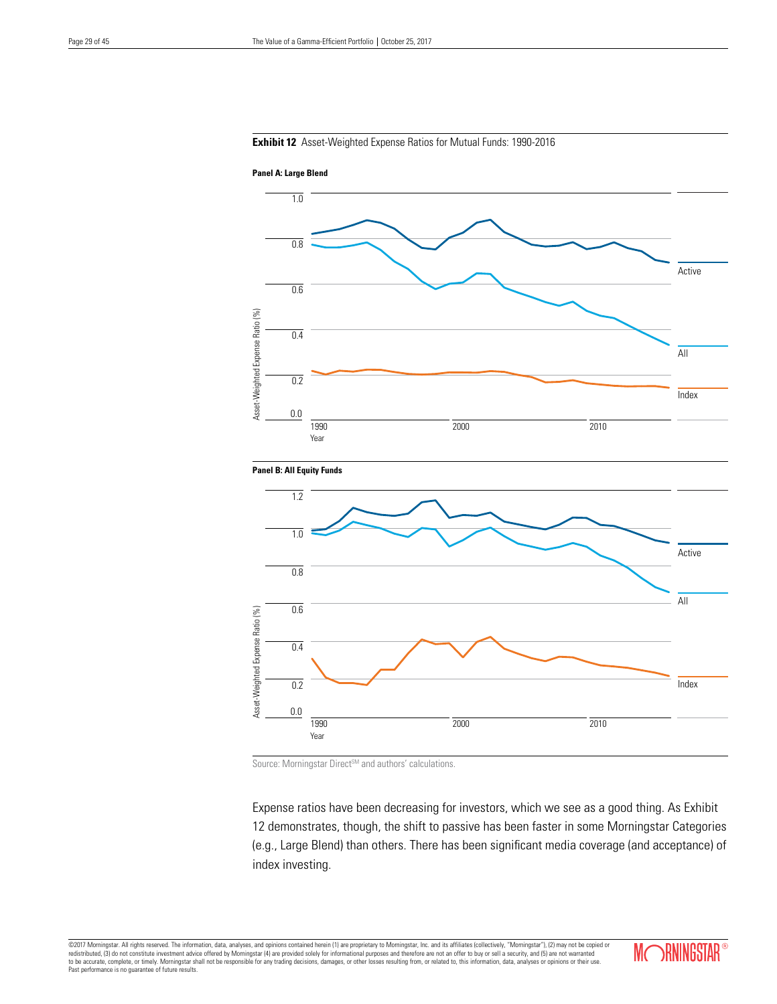# **Exhibit 12** Asset-Weighted Expense Ratios for Mutual Funds: 1990-2016







Source: Morningstar Direct<sup>SM</sup> and authors' calculations.

Expense ratios have been decreasing for investors, which we see as a good thing. As Exhibit 12 demonstrates, though, the shift to passive has been faster in some Morningstar Categories (e.g., Large Blend) than others. There has been significant media coverage (and acceptance) of index investing.

©2017 Morningstar. All rights reserved. The information, data, analyses, and opinions contained herein (1) are proprietary to Morningstar, Inc. and its affiliates (collectively, "Morningstar"), (2) may not be copied or<br>red Past performance is no guarantee of future results.

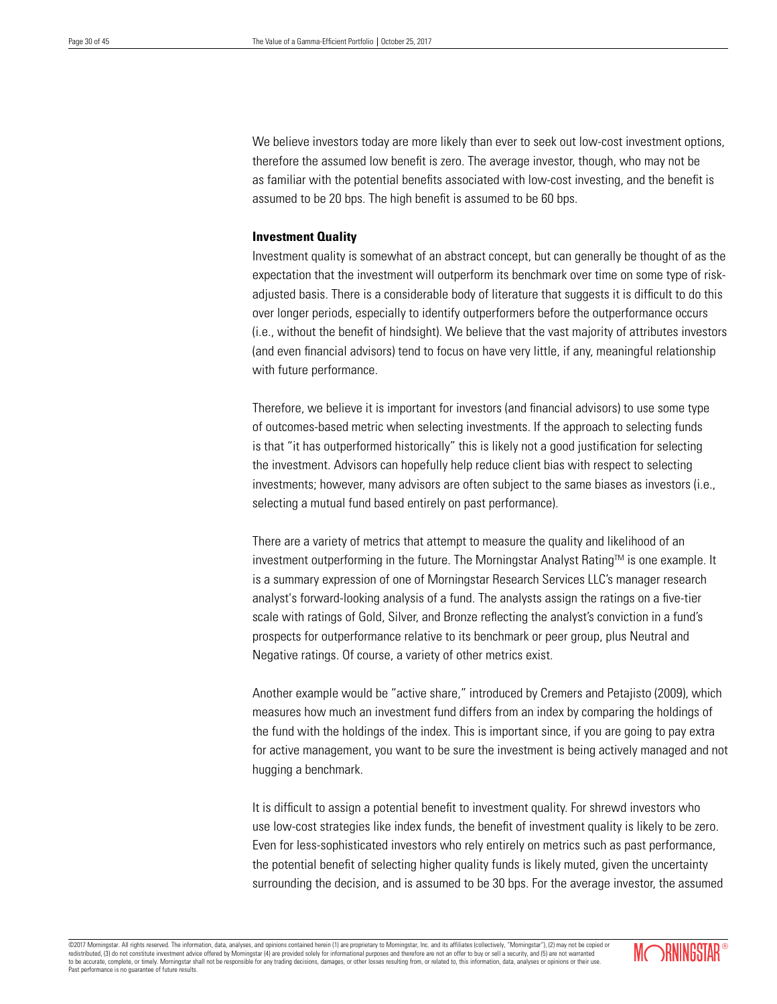We believe investors today are more likely than ever to seek out low-cost investment options, therefore the assumed low benefit is zero. The average investor, though, who may not be as familiar with the potential benefits associated with low-cost investing, and the benefit is assumed to be 20 bps. The high benefit is assumed to be 60 bps.

# **Investment Quality**

Investment quality is somewhat of an abstract concept, but can generally be thought of as the expectation that the investment will outperform its benchmark over time on some type of riskadjusted basis. There is a considerable body of literature that suggests it is difficult to do this over longer periods, especially to identify outperformers before the outperformance occurs (i.e., without the benefit of hindsight). We believe that the vast majority of attributes investors (and even financial advisors) tend to focus on have very little, if any, meaningful relationship with future performance.

Therefore, we believe it is important for investors (and financial advisors) to use some type of outcomes-based metric when selecting investments. If the approach to selecting funds is that "it has outperformed historically" this is likely not a good justification for selecting the investment. Advisors can hopefully help reduce client bias with respect to selecting investments; however, many advisors are often subject to the same biases as investors (i.e., selecting a mutual fund based entirely on past performance).

There are a variety of metrics that attempt to measure the quality and likelihood of an investment outperforming in the future. The Morningstar Analyst Rating™ is one example. It is a summary expression of one of Morningstar Research Services LLC's manager research analyst's forward-looking analysis of a fund. The analysts assign the ratings on a five-tier scale with ratings of Gold, Silver, and Bronze reflecting the analyst's conviction in a fund's prospects for outperformance relative to its benchmark or peer group, plus Neutral and Negative ratings. Of course, a variety of other metrics exist.

Another example would be "active share," introduced by Cremers and Petajisto (2009), which measures how much an investment fund differs from an index by comparing the holdings of the fund with the holdings of the index. This is important since, if you are going to pay extra for active management, you want to be sure the investment is being actively managed and not hugging a benchmark.

It is difficult to assign a potential benefit to investment quality. For shrewd investors who use low-cost strategies like index funds, the benefit of investment quality is likely to be zero. Even for less-sophisticated investors who rely entirely on metrics such as past performance, the potential benefit of selecting higher quality funds is likely muted, given the uncertainty surrounding the decision, and is assumed to be 30 bps. For the average investor, the assumed

©2017 Morningstar. All rights reserved. The information, data, analyses, and opinions contained herein (1) are proprietary to Morningstar, Inc. and its affiliates (collectively, "Morningstar"), (2) may not be copied or redistributed, (3) do not constitute investment advice offered by Morningstar (4) are provided solely for informational purposes and therefore are not an offer to buy or sell a security, and (5) are not warranted and the s to be accurate, complete, or timely. Morningstar shall not be responsible for any trading decisions, damages, or other losses resulting from, or related to, this information, data, analyses or opinions or their use. Past performance is no guarantee of future results.

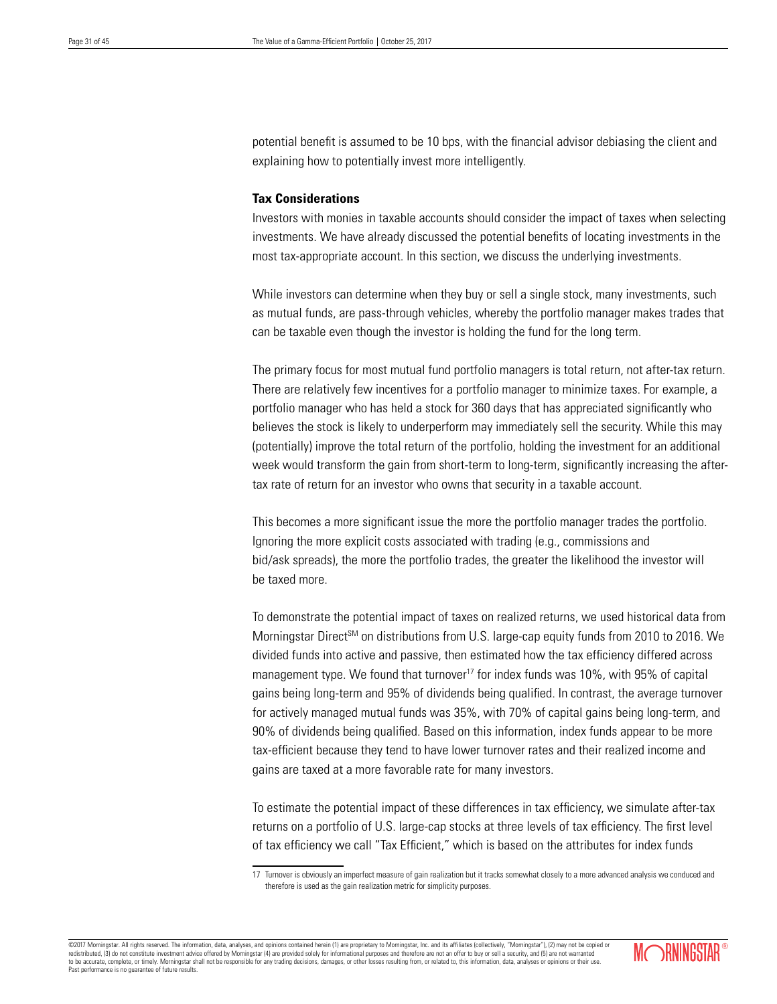potential benefit is assumed to be 10 bps, with the financial advisor debiasing the client and explaining how to potentially invest more intelligently.

# **Tax Considerations**

Investors with monies in taxable accounts should consider the impact of taxes when selecting investments. We have already discussed the potential benefits of locating investments in the most tax-appropriate account. In this section, we discuss the underlying investments.

While investors can determine when they buy or sell a single stock, many investments, such as mutual funds, are pass-through vehicles, whereby the portfolio manager makes trades that can be taxable even though the investor is holding the fund for the long term.

The primary focus for most mutual fund portfolio managers is total return, not after-tax return. There are relatively few incentives for a portfolio manager to minimize taxes. For example, a portfolio manager who has held a stock for 360 days that has appreciated significantly who believes the stock is likely to underperform may immediately sell the security. While this may (potentially) improve the total return of the portfolio, holding the investment for an additional week would transform the gain from short-term to long-term, significantly increasing the aftertax rate of return for an investor who owns that security in a taxable account.

This becomes a more significant issue the more the portfolio manager trades the portfolio. Ignoring the more explicit costs associated with trading (e.g., commissions and bid/ask spreads), the more the portfolio trades, the greater the likelihood the investor will be taxed more.

To demonstrate the potential impact of taxes on realized returns, we used historical data from Morningstar Direct<sup>SM</sup> on distributions from U.S. large-cap equity funds from 2010 to 2016. We divided funds into active and passive, then estimated how the tax efficiency differed across management type. We found that turnover<sup>17</sup> for index funds was  $10\%$ , with 95% of capital gains being long-term and 95% of dividends being qualified. In contrast, the average turnover for actively managed mutual funds was 35%, with 70% of capital gains being long-term, and 90% of dividends being qualified. Based on this information, index funds appear to be more tax-efficient because they tend to have lower turnover rates and their realized income and gains are taxed at a more favorable rate for many investors.

To estimate the potential impact of these differences in tax efficiency, we simulate after-tax returns on a portfolio of U.S. large-cap stocks at three levels of tax efficiency. The first level of tax efficiency we call "Tax Efficient," which is based on the attributes for index funds

©2017 Morningstar. All rights reserved. The information, data, analyses, and opinions contained herein (1) are proprietary to Morningstar, Inc. and its affiliates (collectively, "Morningstar"), (2) may not be copied or redistributed, (3) do not constitute investment advice offered by Morningstar (4) are provided solely for informational purposes and therefore are not an offer to buy or sell a security, and (5) are not warrant to be accurate, complete, or timely. Morningstar shall not be responsible for any trading decisions, damages, or other losses resulting from, or related to, this information, data, analyses or opinions or their use. Past performance is no guarantee of future results.



<sup>17</sup> Turnover is obviously an imperfect measure of gain realization but it tracks somewhat closely to a more advanced analysis we conduced and therefore is used as the gain realization metric for simplicity purposes.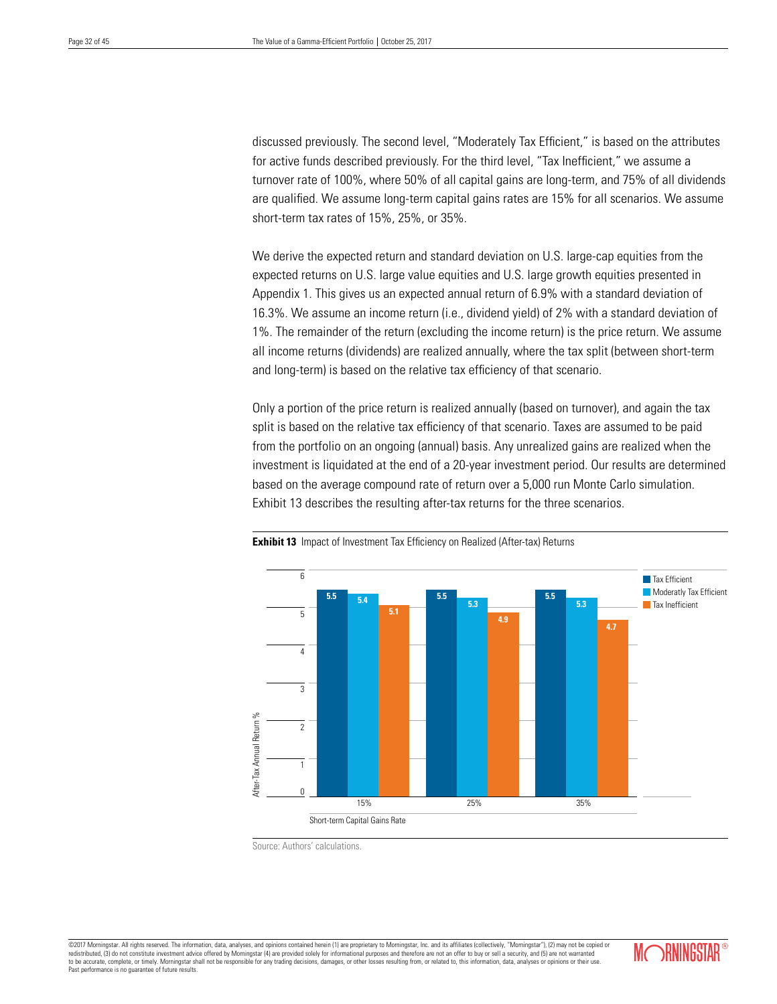discussed previously. The second level, "Moderately Tax Efficient," is based on the attributes for active funds described previously. For the third level, "Tax Inefficient," we assume a turnover rate of 100%, where 50% of all capital gains are long-term, and 75% of all dividends are qualified. We assume long-term capital gains rates are 15% for all scenarios. We assume short-term tax rates of 15%, 25%, or 35%.

We derive the expected return and standard deviation on U.S. large-cap equities from the expected returns on U.S. large value equities and U.S. large growth equities presented in Appendix 1. This gives us an expected annual return of 6.9% with a standard deviation of 16.3%. We assume an income return (i.e., dividend yield) of 2% with a standard deviation of 1%. The remainder of the return (excluding the income return) is the price return. We assume all income returns (dividends) are realized annually, where the tax split (between short-term and long-term) is based on the relative tax efficiency of that scenario.

Only a portion of the price return is realized annually (based on turnover), and again the tax split is based on the relative tax efficiency of that scenario. Taxes are assumed to be paid from the portfolio on an ongoing (annual) basis. Any unrealized gains are realized when the investment is liquidated at the end of a 20-year investment period. Our results are determined based on the average compound rate of return over a 5,000 run Monte Carlo simulation. Exhibit 13 describes the resulting after-tax returns for the three scenarios.





Source: Authors' calculations.

©2017 Morningstar. All rights reserved. The information, data, analyses, and opinions contained herein (1) are proprietary to Morningstar, Inc. and its affiliates (collectively, "Morningstar"), (2) may not be copied or red redistributed, (3) do not constitute investment advice offered by Morningstar (4) are provided solely for informational purposes and therefore are not an offer to buy or security, and  $\alpha$ to be accurate, complete, or timely. Morningstar shall not be responsible for any trading decisions, damages, or other losses resulting from, or related to, this information, data, analyses or opinions or their use. Past performance is no guarantee of future results.

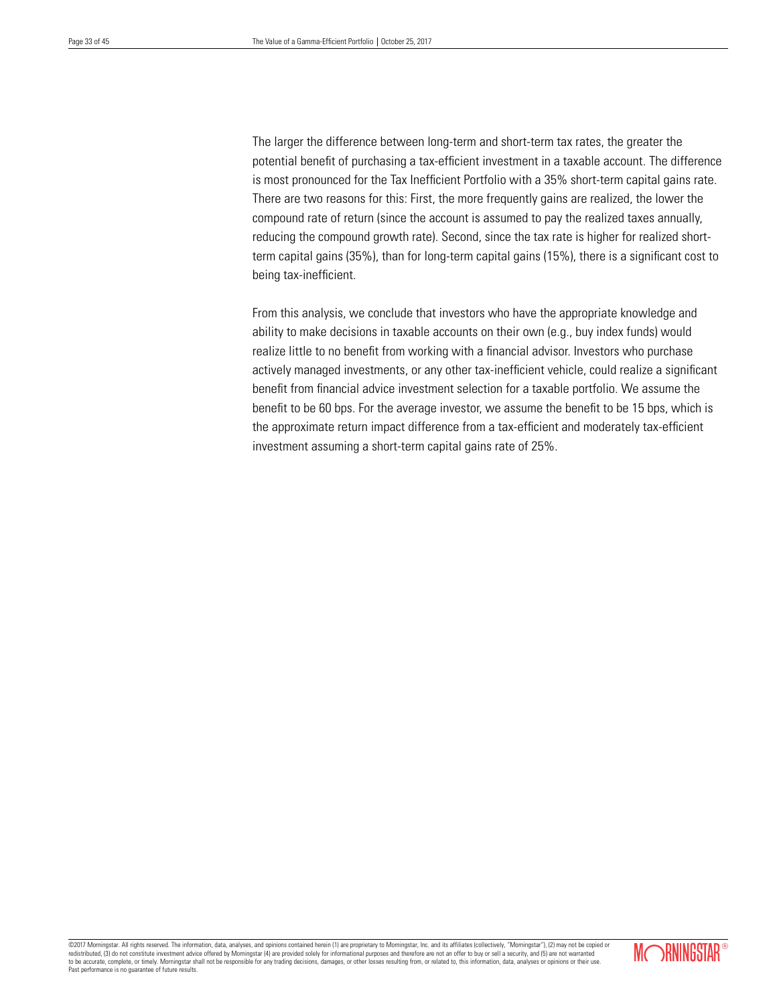The larger the difference between long-term and short-term tax rates, the greater the potential benefit of purchasing a tax-efficient investment in a taxable account. The difference is most pronounced for the Tax Inefficient Portfolio with a 35% short-term capital gains rate. There are two reasons for this: First, the more frequently gains are realized, the lower the compound rate of return (since the account is assumed to pay the realized taxes annually, reducing the compound growth rate). Second, since the tax rate is higher for realized shortterm capital gains (35%), than for long-term capital gains (15%), there is a significant cost to being tax-inefficient.

From this analysis, we conclude that investors who have the appropriate knowledge and ability to make decisions in taxable accounts on their own (e.g., buy index funds) would realize little to no benefit from working with a financial advisor. Investors who purchase actively managed investments, or any other tax-inefficient vehicle, could realize a significant benefit from financial advice investment selection for a taxable portfolio. We assume the benefit to be 60 bps. For the average investor, we assume the benefit to be 15 bps, which is the approximate return impact difference from a tax-efficient and moderately tax-efficient investment assuming a short-term capital gains rate of 25%.

©2017 Morningstar. All rights reserved. The information, data, analyses, and opinions contained herein (1) are proprietary to Morningstar, Inc. and its affiliates (collectively, "Morningstar"), (2) may not be copied or redistributed, (3) do not constitute investment advice offered by Morningstar (4) are provided solely for informational purposes and therefore are not an offer to buy or sell a security, and (5) are not warranted to be accurate, complete, or timely. Morningstar shall not be responsible for any trading decisions, damages, or other losses resulting from, or related to, this information, data, analyses or opinions or their use. Past performance is no guarantee of future results.

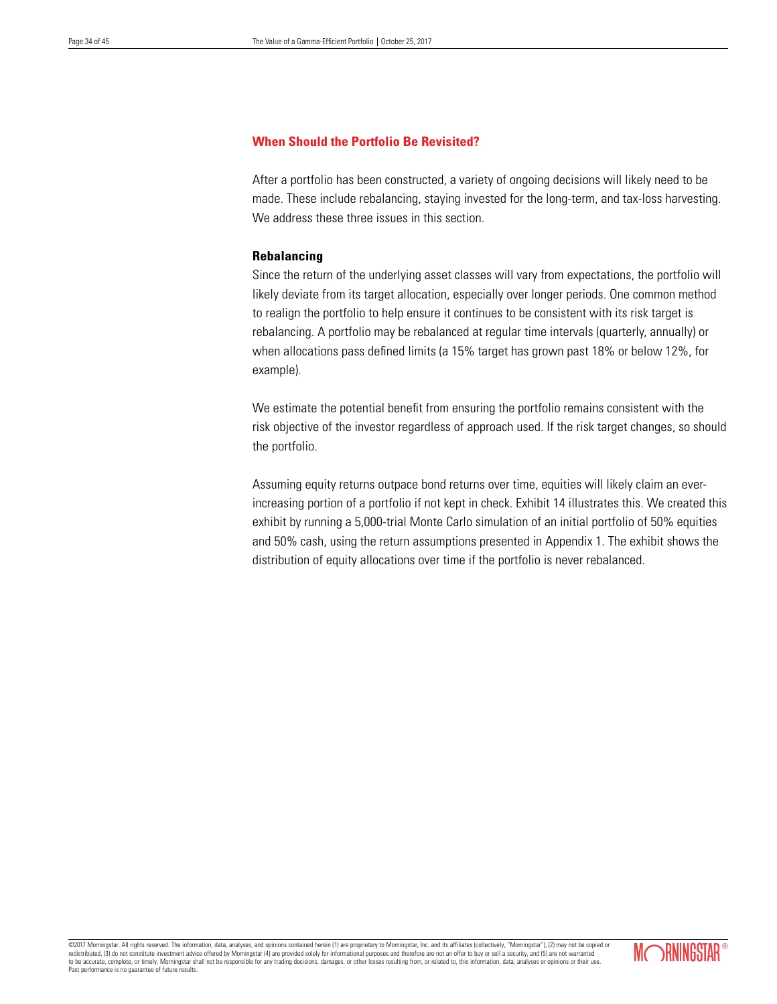# **When Should the Portfolio Be Revisited?**

After a portfolio has been constructed, a variety of ongoing decisions will likely need to be made. These include rebalancing, staying invested for the long-term, and tax-loss harvesting. We address these three issues in this section.

# **Rebalancing**

Since the return of the underlying asset classes will vary from expectations, the portfolio will likely deviate from its target allocation, especially over longer periods. One common method to realign the portfolio to help ensure it continues to be consistent with its risk target is rebalancing. A portfolio may be rebalanced at regular time intervals (quarterly, annually) or when allocations pass defined limits (a 15% target has grown past 18% or below 12%, for example).

We estimate the potential benefit from ensuring the portfolio remains consistent with the risk objective of the investor regardless of approach used. If the risk target changes, so should the portfolio.

Assuming equity returns outpace bond returns over time, equities will likely claim an everincreasing portion of a portfolio if not kept in check. Exhibit 14 illustrates this. We created this exhibit by running a 5,000-trial Monte Carlo simulation of an initial portfolio of 50% equities and 50% cash, using the return assumptions presented in Appendix 1. The exhibit shows the distribution of equity allocations over time if the portfolio is never rebalanced.

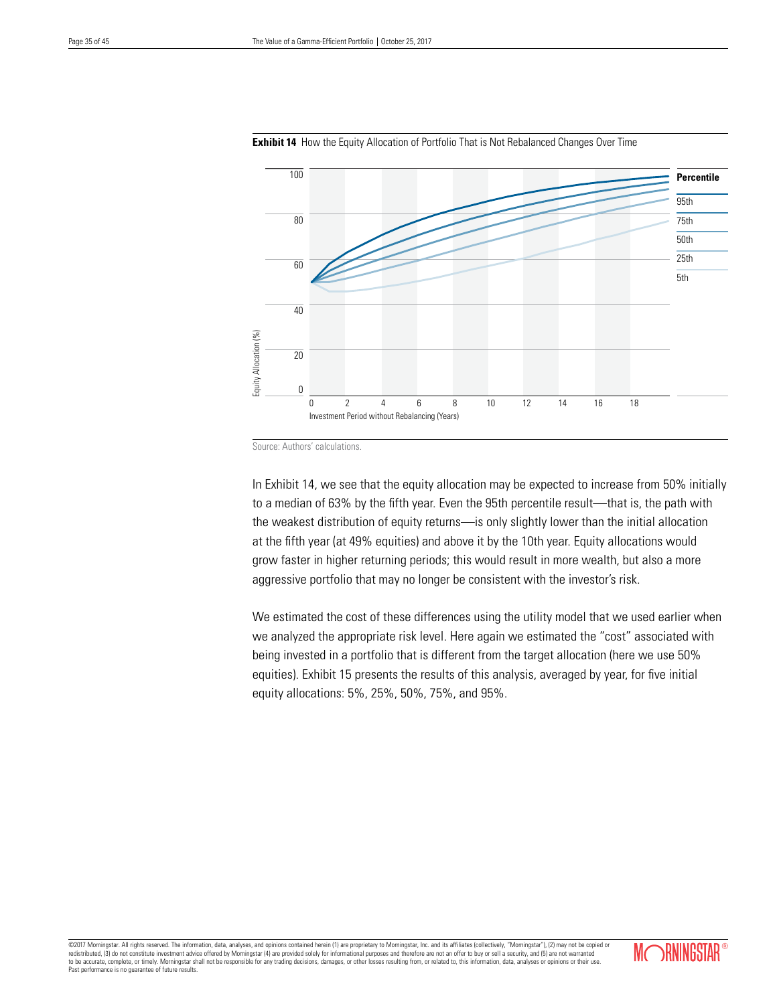

**Exhibit 14** How the Equity Allocation of Portfolio That is Not Rebalanced Changes Over Time

In Exhibit 14, we see that the equity allocation may be expected to increase from 50% initially to a median of 63% by the fifth year. Even the 95th percentile result—that is, the path with the weakest distribution of equity returns—is only slightly lower than the initial allocation at the fifth year (at 49% equities) and above it by the 10th year. Equity allocations would grow faster in higher returning periods; this would result in more wealth, but also a more aggressive portfolio that may no longer be consistent with the investor's risk.

We estimated the cost of these differences using the utility model that we used earlier when we analyzed the appropriate risk level. Here again we estimated the "cost" associated with being invested in a portfolio that is different from the target allocation (here we use 50% equities). Exhibit 15 presents the results of this analysis, averaged by year, for five initial equity allocations: 5%, 25%, 50%, 75%, and 95%.



Source: Authors' calculations.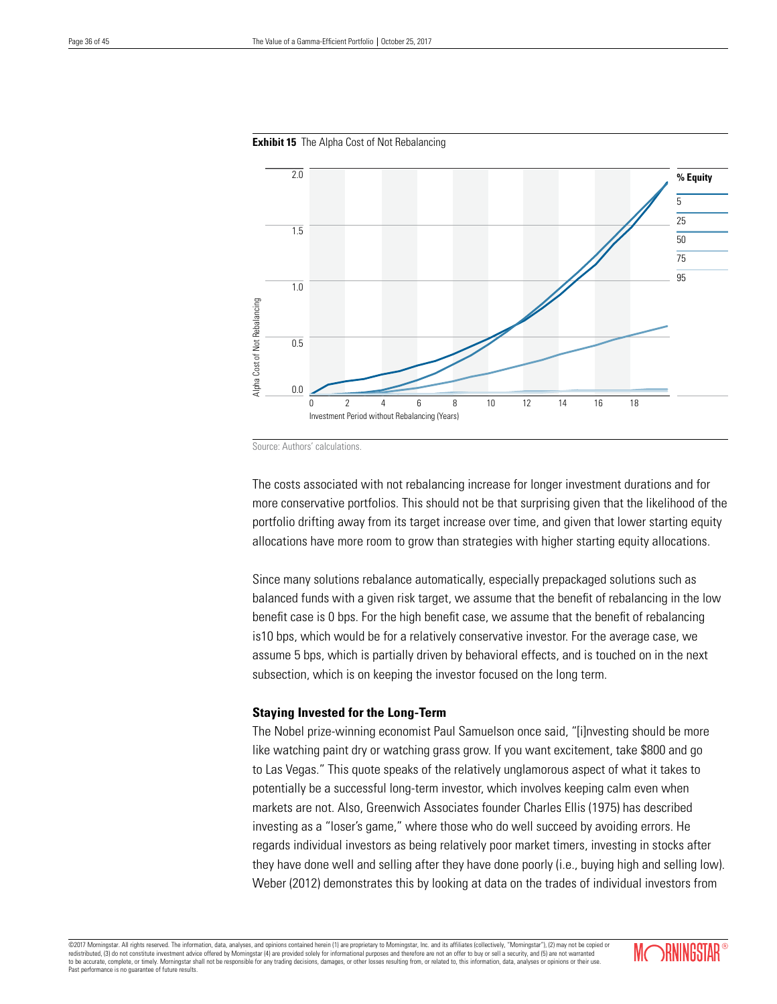

#### **Exhibit 15** The Alpha Cost of Not Rebalancing

Source: Authors' calculations.

The costs associated with not rebalancing increase for longer investment durations and for more conservative portfolios. This should not be that surprising given that the likelihood of the portfolio drifting away from its target increase over time, and given that lower starting equity allocations have more room to grow than strategies with higher starting equity allocations.

Since many solutions rebalance automatically, especially prepackaged solutions such as balanced funds with a given risk target, we assume that the benefit of rebalancing in the low benefit case is 0 bps. For the high benefit case, we assume that the benefit of rebalancing is10 bps, which would be for a relatively conservative investor. For the average case, we assume 5 bps, which is partially driven by behavioral effects, and is touched on in the next subsection, which is on keeping the investor focused on the long term.

# **Staying Invested for the Long-Term**

The Nobel prize-winning economist Paul Samuelson once said, "[i]nvesting should be more like watching paint dry or watching grass grow. If you want excitement, take \$800 and go to Las Vegas." This quote speaks of the relatively unglamorous aspect of what it takes to potentially be a successful long-term investor, which involves keeping calm even when markets are not. Also, Greenwich Associates founder Charles Ellis (1975) has described investing as a "loser's game," where those who do well succeed by avoiding errors. He regards individual investors as being relatively poor market timers, investing in stocks after they have done well and selling after they have done poorly (i.e., buying high and selling low). Weber (2012) demonstrates this by looking at data on the trades of individual investors from

©2017 Morningstar. All rights reserved. The information, data, analyses, and opinions contained herein (1) are proprietary to Morningstar, Inc. and its affiliates (collectively, "Morningstar"), (2) may not be copied or red redistributed, (3) do not constitute investment advice offered by Morningstar (4) are provided solely for informational purposes and therefore are not an offer to buy or security, and  $\alpha$ to be accurate, complete, or timely. Morningstar shall not be responsible for any trading decisions, damages, or other losses resulting from, or related to, this information, data, analyses or opinions or their use. Past performance is no guarantee of future results.

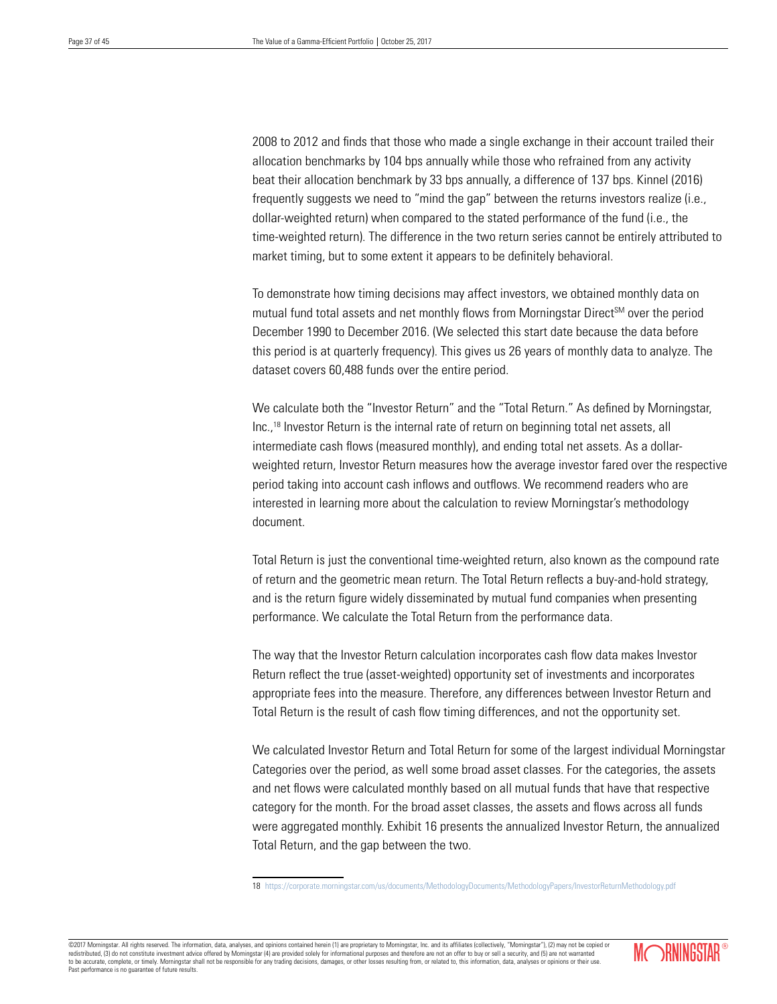2008 to 2012 and finds that those who made a single exchange in their account trailed their allocation benchmarks by 104 bps annually while those who refrained from any activity beat their allocation benchmark by 33 bps annually, a difference of 137 bps. Kinnel (2016) frequently suggests we need to "mind the gap" between the returns investors realize (i.e., dollar-weighted return) when compared to the stated performance of the fund (i.e., the time-weighted return). The difference in the two return series cannot be entirely attributed to market timing, but to some extent it appears to be definitely behavioral.

To demonstrate how timing decisions may affect investors, we obtained monthly data on mutual fund total assets and net monthly flows from Morningstar Direct<sup>SM</sup> over the period December 1990 to December 2016. (We selected this start date because the data before this period is at quarterly frequency). This gives us 26 years of monthly data to analyze. The dataset covers 60,488 funds over the entire period.

We calculate both the "Investor Return" and the "Total Return." As defined by Morningstar, Inc.,18 Investor Return is the internal rate of return on beginning total net assets, all intermediate cash flows (measured monthly), and ending total net assets. As a dollarweighted return, Investor Return measures how the average investor fared over the respective period taking into account cash inflows and outflows. We recommend readers who are interested in learning more about the calculation to review Morningstar's methodology document.

Total Return is just the conventional time-weighted return, also known as the compound rate of return and the geometric mean return. The Total Return reflects a buy-and-hold strategy, and is the return figure widely disseminated by mutual fund companies when presenting performance. We calculate the Total Return from the performance data.

The way that the Investor Return calculation incorporates cash flow data makes Investor Return reflect the true (asset-weighted) opportunity set of investments and incorporates appropriate fees into the measure. Therefore, any differences between Investor Return and Total Return is the result of cash flow timing differences, and not the opportunity set.

We calculated Investor Return and Total Return for some of the largest individual Morningstar Categories over the period, as well some broad asset classes. For the categories, the assets and net flows were calculated monthly based on all mutual funds that have that respective category for the month. For the broad asset classes, the assets and flows across all funds were aggregated monthly. Exhibit 16 presents the annualized Investor Return, the annualized Total Return, and the gap between the two.

18 https://corporate.morningstar.com/us/documents/MethodologyDocuments/MethodologyPapers/InvestorReturnMethodology.pdf

©2017 Morningstar. All rights reserved. The information, data, analyses, and opinions contained herein (1) are proprietary to Morningstar, Inc. and its affiliates (collectively, "Morningstar"), (2) may not be copied or redistributed, (3) do not constitute investment advice offered by Morningstar (4) are provided solely for informational purposes and therefore are not an offer to buy or sell a security, and (5) are not warranted and the s to be accurate, complete, or timely. Morningstar shall not be responsible for any trading decisions, damages, or other losses resulting from, or related to, this information, data, analyses or opinions or their use. Past performance is no guarantee of future results.

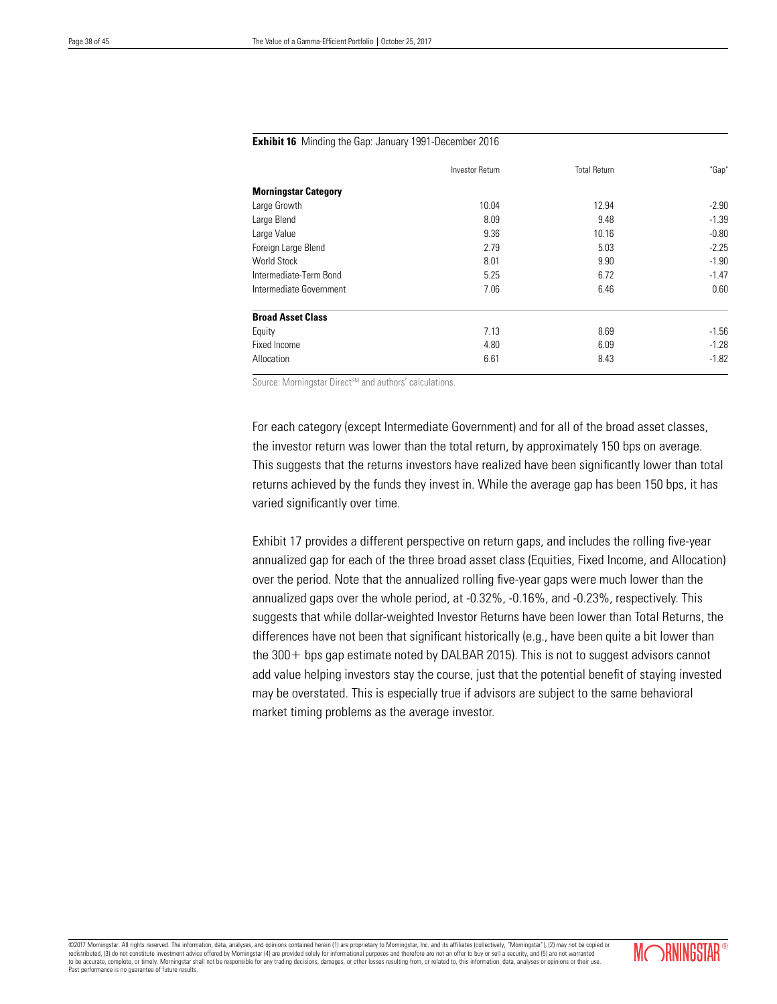#### **Exhibit 16** Minding the Gap: January 1991-December 2016

|                             | <b>Investor Return</b> | <b>Total Return</b> | "Gap"   |
|-----------------------------|------------------------|---------------------|---------|
| <b>Morningstar Category</b> |                        |                     |         |
| Large Growth                | 10.04                  | 12.94               | $-2.90$ |
| Large Blend                 | 8.09                   | 9.48                | $-1.39$ |
| Large Value                 | 9.36                   | 10.16               | $-0.80$ |
| Foreign Large Blend         | 2.79                   | 5.03                | $-2.25$ |
| <b>World Stock</b>          | 8.01                   | 9.90                | $-1.90$ |
| Intermediate-Term Bond      | 5.25                   | 6.72                | $-1.47$ |
| Intermediate Government     | 7.06                   | 6.46                | 0.60    |
| <b>Broad Asset Class</b>    |                        |                     |         |
| Equity                      | 7.13                   | 8.69                | $-1.56$ |
| Fixed Income                | 4.80                   | 6.09                | $-1.28$ |
| Allocation                  | 6.61                   | 8.43                | $-1.82$ |

Source: Morningstar Direct<sup>SM</sup> and authors' calculations.

For each category (except Intermediate Government) and for all of the broad asset classes, the investor return was lower than the total return, by approximately 150 bps on average. This suggests that the returns investors have realized have been significantly lower than total returns achieved by the funds they invest in. While the average gap has been 150 bps, it has varied significantly over time.

Exhibit 17 provides a different perspective on return gaps, and includes the rolling five-year annualized gap for each of the three broad asset class (Equities, Fixed Income, and Allocation) over the period. Note that the annualized rolling five-year gaps were much lower than the annualized gaps over the whole period, at -0.32%, -0.16%, and -0.23%, respectively. This suggests that while dollar-weighted Investor Returns have been lower than Total Returns, the differences have not been that significant historically (e.g., have been quite a bit lower than the 300+ bps gap estimate noted by DALBAR 2015). This is not to suggest advisors cannot add value helping investors stay the course, just that the potential benefit of staying invested may be overstated. This is especially true if advisors are subject to the same behavioral market timing problems as the average investor.

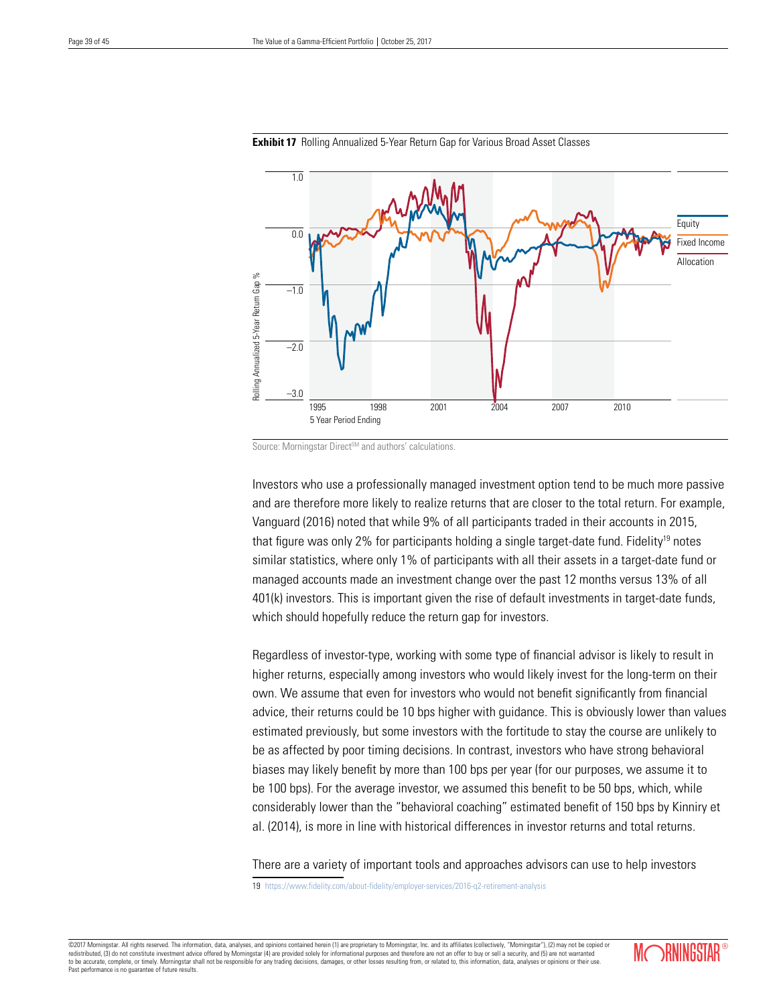



Investors who use a professionally managed investment option tend to be much more passive and are therefore more likely to realize returns that are closer to the total return. For example, Vanguard (2016) noted that while 9% of all participants traded in their accounts in 2015, that figure was only 2% for participants holding a single target-date fund. Fidelity<sup>19</sup> notes similar statistics, where only 1% of participants with all their assets in a target-date fund or managed accounts made an investment change over the past 12 months versus 13% of all 401(k) investors. This is important given the rise of default investments in target-date funds, which should hopefully reduce the return gap for investors.

Regardless of investor-type, working with some type of financial advisor is likely to result in higher returns, especially among investors who would likely invest for the long-term on their own. We assume that even for investors who would not benefit significantly from financial advice, their returns could be 10 bps higher with guidance. This is obviously lower than values estimated previously, but some investors with the fortitude to stay the course are unlikely to be as affected by poor timing decisions. In contrast, investors who have strong behavioral biases may likely benefit by more than 100 bps per year (for our purposes, we assume it to be 100 bps). For the average investor, we assumed this benefit to be 50 bps, which, while considerably lower than the "behavioral coaching" estimated benefit of 150 bps by Kinniry et al. (2014), is more in line with historical differences in investor returns and total returns.

There are a variety of important tools and approaches advisors can use to help investors 19 https://www.fidelity.com/about-fidelity/employer-services/2016-q2-retirement-analysis

©2017 Morningstar. All rights reserved. The information, data, analyses, and opinions contained herein (1) are proprietary to Morningstar, Inc. and its affiliates (collectively, "Morningstar"), (2) may not be copied or red redistributed, (3) do not constitute investment advice offered by Morningstar (4) are provided solely for informational purposes and therefore are not an offer to buy or security, and  $\alpha$ to be accurate, complete, or timely. Morningstar shall not be responsible for any trading decisions, damages, or other losses resulting from, or related to, this information, data, analyses or opinions or their use. Past performance is no guarantee of future results.



Source: Morningstar Direct<sup>SM</sup> and authors' calculations.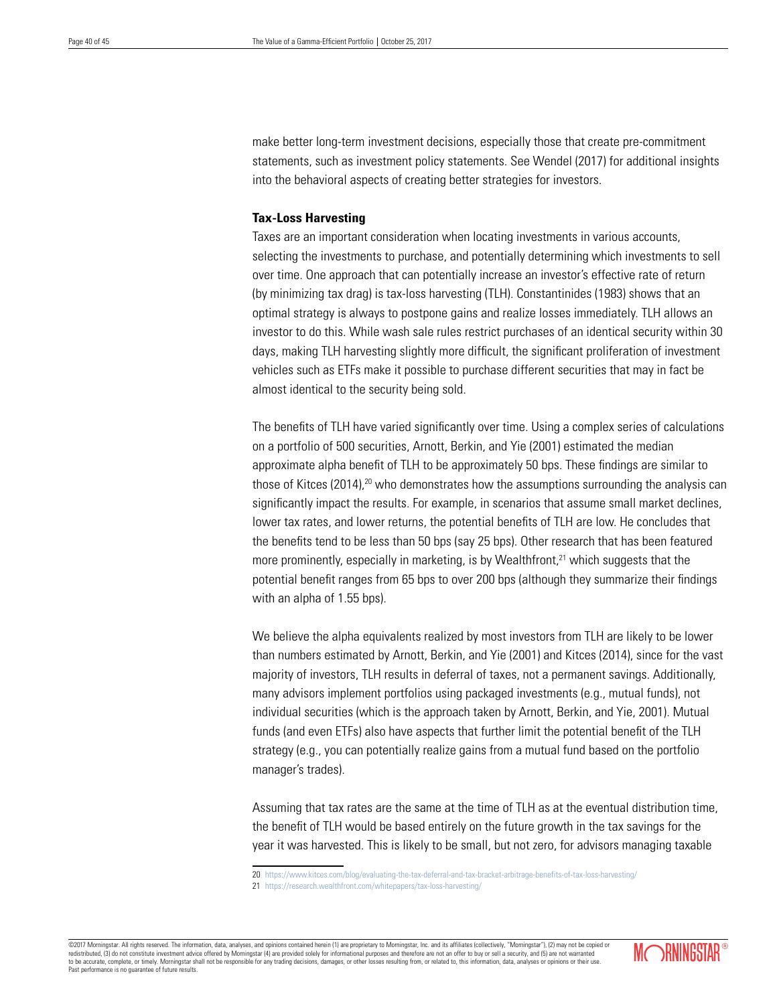make better long-term investment decisions, especially those that create pre-commitment statements, such as investment policy statements. See Wendel (2017) for additional insights into the behavioral aspects of creating better strategies for investors.

# **Tax-Loss Harvesting**

Taxes are an important consideration when locating investments in various accounts, selecting the investments to purchase, and potentially determining which investments to sell over time. One approach that can potentially increase an investor's effective rate of return (by minimizing tax drag) is tax-loss harvesting (TLH). Constantinides (1983) shows that an optimal strategy is always to postpone gains and realize losses immediately. TLH allows an investor to do this. While wash sale rules restrict purchases of an identical security within 30 days, making TLH harvesting slightly more difficult, the significant proliferation of investment vehicles such as ETFs make it possible to purchase different securities that may in fact be almost identical to the security being sold.

The benefits of TLH have varied significantly over time. Using a complex series of calculations on a portfolio of 500 securities, Arnott, Berkin, and Yie (2001) estimated the median approximate alpha benefit of TLH to be approximately 50 bps. These findings are similar to those of Kitces (2014),<sup>20</sup> who demonstrates how the assumptions surrounding the analysis can significantly impact the results. For example, in scenarios that assume small market declines, lower tax rates, and lower returns, the potential benefits of TLH are low. He concludes that the benefits tend to be less than 50 bps (say 25 bps). Other research that has been featured more prominently, especially in marketing, is by Wealthfront, $21$  which suggests that the potential benefit ranges from 65 bps to over 200 bps (although they summarize their findings with an alpha of 1.55 bps).

We believe the alpha equivalents realized by most investors from TLH are likely to be lower than numbers estimated by Arnott, Berkin, and Yie (2001) and Kitces (2014), since for the vast majority of investors, TLH results in deferral of taxes, not a permanent savings. Additionally, many advisors implement portfolios using packaged investments (e.g., mutual funds), not individual securities (which is the approach taken by Arnott, Berkin, and Yie, 2001). Mutual funds (and even ETFs) also have aspects that further limit the potential benefit of the TLH strategy (e.g., you can potentially realize gains from a mutual fund based on the portfolio manager's trades).

Assuming that tax rates are the same at the time of TLH as at the eventual distribution time, the benefit of TLH would be based entirely on the future growth in the tax savings for the year it was harvested. This is likely to be small, but not zero, for advisors managing taxable

©2017 Morningstar. All rights reserved. The information, data, analyses, and opinions contained herein (1) are proprietary to Morningstar, Inc. and its affiliates (collectively, "Morningstar"), (2) may not be copied or redistributed, (3) do not constitute investment advice offered by Morningstar (4) are provided solely for informational purposes and therefore are not an offer to buy or sell a security, and (5) are not warrant to be accurate, complete, or timely. Morningstar shall not be responsible for any trading decisions, damages, or other losses resulting from, or related to, this information, data, analyses or opinions or their use. Past performance is no guarantee of future results.



<sup>20</sup> https://www.kitces.com/blog/evaluating-the-tax-deferral-and-tax-bracket-arbitrage-benefits-of-tax-loss-harvesting/ 21 https://research.wealthfront.com/whitepapers/tax-loss-harvesting/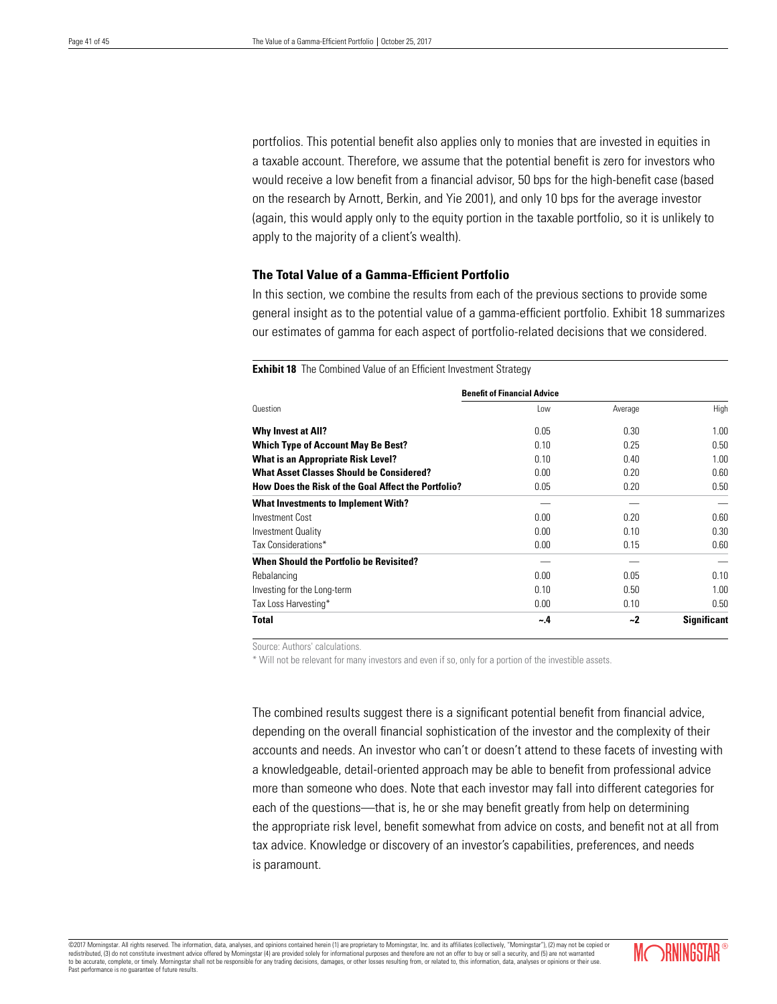portfolios. This potential benefit also applies only to monies that are invested in equities in a taxable account. Therefore, we assume that the potential benefit is zero for investors who would receive a low benefit from a financial advisor, 50 bps for the high-benefit case (based on the research by Arnott, Berkin, and Yie 2001), and only 10 bps for the average investor (again, this would apply only to the equity portion in the taxable portfolio, so it is unlikely to apply to the majority of a client's wealth).

# **The Total Value of a Gamma-Efficient Portfolio**

In this section, we combine the results from each of the previous sections to provide some general insight as to the potential value of a gamma-efficient portfolio. Exhibit 18 summarizes our estimates of gamma for each aspect of portfolio-related decisions that we considered.

# **Benefit of Financial Advice** Question Low Average High **Why Invest at All?** 0.05 0.30 1.00 **Which Type of Account May Be Best?** 0.10 0.25 0.50 **What is an Appropriate Risk Level? 1.00 0.40 0.40 1.00 1.00 What Asset Classes Should be Considered?** 0.00 0.20 0.20 0.60 **How Does the Risk of the Goal Affect the Portfolio?** 0.05 0.20 0.50 0.50 **What Investments to Implement With?** — — — Investment Cost 0.00 0.20 0.60 Investment Quality 0.00 0.10 0.30 Tax Considerations\* 0.00 0.15 0.60 **When Should the Portfolio be Revisited?** Rebalancing 0.00 0.05 0.10 Investing for the Long-term 0.10 0.50 1.00 Tax Loss Harvesting\* 0.00 0.10 0.50 **Total ~.4 ~2 Significant**

**Exhibit 18** The Combined Value of an Efficient Investment Strategy

Source: Authors' calculations.

\* Will not be relevant for many investors and even if so, only for a portion of the investible assets.

The combined results suggest there is a significant potential benefit from financial advice, depending on the overall financial sophistication of the investor and the complexity of their accounts and needs. An investor who can't or doesn't attend to these facets of investing with a knowledgeable, detail-oriented approach may be able to benefit from professional advice more than someone who does. Note that each investor may fall into different categories for each of the questions—that is, he or she may benefit greatly from help on determining the appropriate risk level, benefit somewhat from advice on costs, and benefit not at all from tax advice. Knowledge or discovery of an investor's capabilities, preferences, and needs is paramount.

©2017 Morningstar. All rights reserved. The information, data, analyses, and opinions contained herein (1) are proprietary to Morningstar, Inc. and its affiliates (collectively, "Morningstar"), (2) may not be copied or red redistributed, (3) do not constitute investment advice offered by Morningstar (4) are provided solely for informational purposes and therefore are not an offer to buy or sell at a security, and  $\alpha$ to be accurate, complete, or timely. Morningstar shall not be responsible for any trading decisions, damages, or other losses resulting from, or related to, this information, data, analyses or opinions or their use. Past performance is no guarantee of future results.

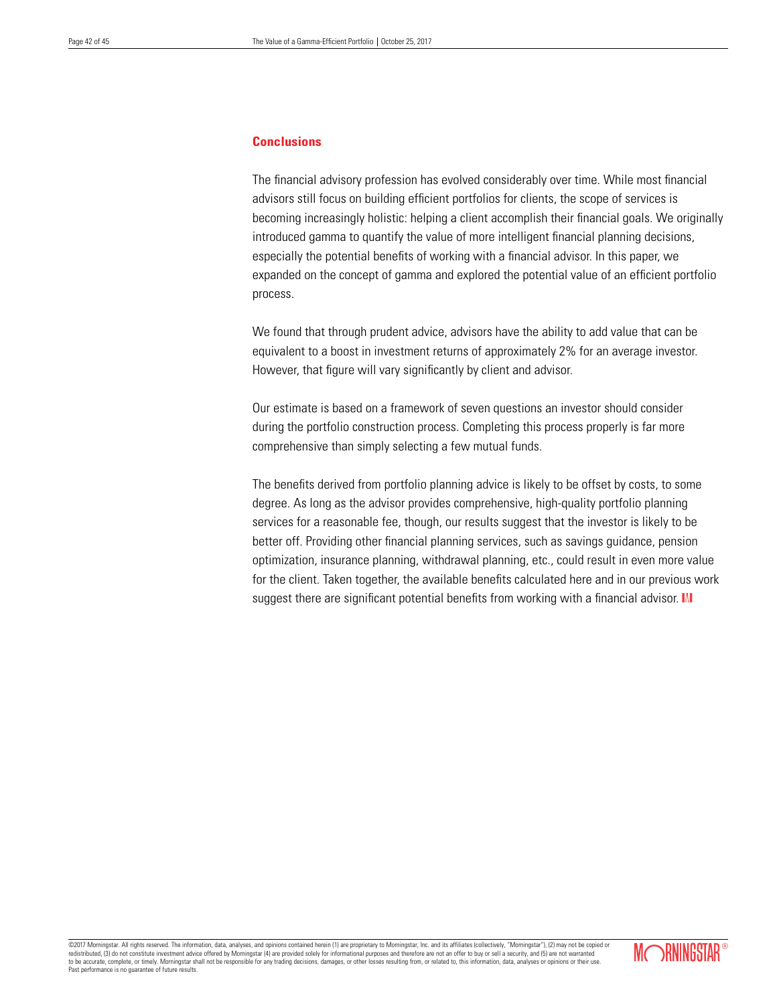# **Conclusions**

The financial advisory profession has evolved considerably over time. While most financial advisors still focus on building efficient portfolios for clients, the scope of services is becoming increasingly holistic: helping a client accomplish their financial goals. We originally introduced gamma to quantify the value of more intelligent financial planning decisions, especially the potential benefits of working with a financial advisor. In this paper, we expanded on the concept of gamma and explored the potential value of an efficient portfolio process.

We found that through prudent advice, advisors have the ability to add value that can be equivalent to a boost in investment returns of approximately 2% for an average investor. However, that figure will vary significantly by client and advisor.

Our estimate is based on a framework of seven questions an investor should consider during the portfolio construction process. Completing this process properly is far more comprehensive than simply selecting a few mutual funds.

The benefits derived from portfolio planning advice is likely to be offset by costs, to some degree. As long as the advisor provides comprehensive, high-quality portfolio planning services for a reasonable fee, though, our results suggest that the investor is likely to be better off. Providing other financial planning services, such as savings guidance, pension optimization, insurance planning, withdrawal planning, etc., could result in even more value for the client. Taken together, the available benefits calculated here and in our previous work suggest there are significant potential benefits from working with a financial advisor. M

©2017 Morningstar. All rights reserved. The information, data, analyses, and opinions contained herein (1) are proprietary to Morningstar, Inc. and its affiliates (collectively, "Morningstar"), (2) may not be copied or redistributed, (3) do not constitute investment advice offered by Morningstar (4) are provided solely for informational purposes and therefore are not an offer to buy or sell a security, and (5) are not warranted to be accurate, complete, or timely. Morningstar shall not be responsible for any trading decisions, damages, or other losses resulting from, or related to, this information, data, analyses or opinions or their use. Past performance is no guarantee of future results.

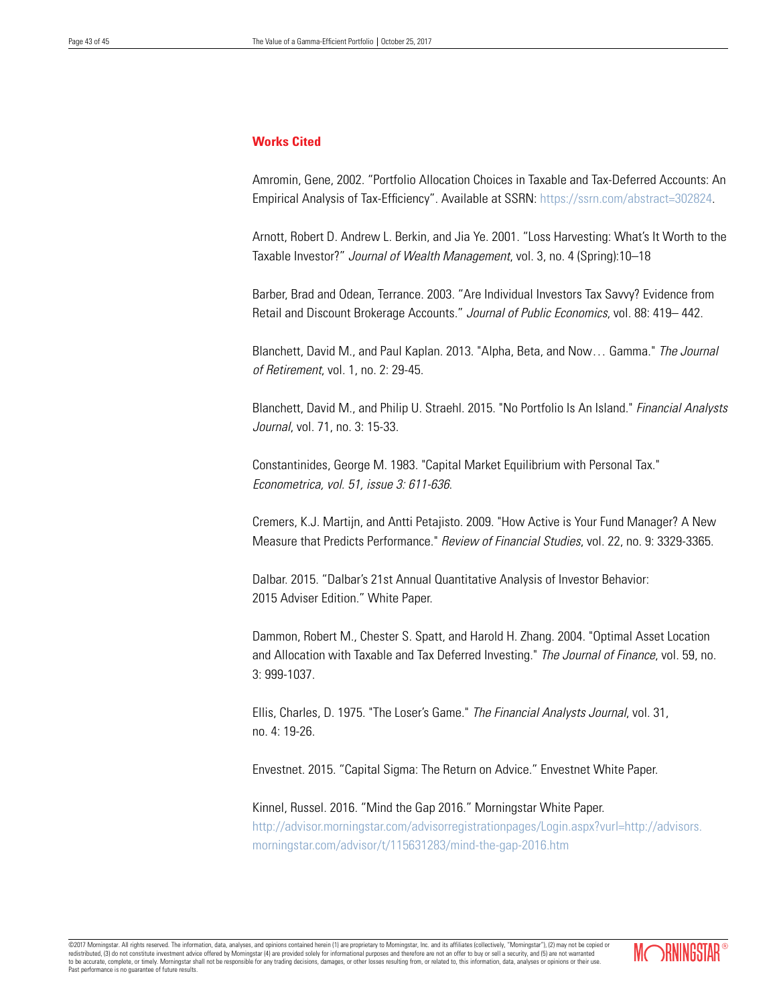# **Works Cited**

Amromin, Gene, 2002. "Portfolio Allocation Choices in Taxable and Tax-Deferred Accounts: An Empirical Analysis of Tax-Efficiency". Available at SSRN: https://ssrn.com/abstract=302824.

Arnott, Robert D. Andrew L. Berkin, and Jia Ye. 2001. "Loss Harvesting: What's It Worth to the Taxable Investor?" *Journal of Wealth Management*, vol. 3, no. 4 (Spring):10–18

Barber, Brad and Odean, Terrance. 2003. "Are Individual Investors Tax Savvy? Evidence from Retail and Discount Brokerage Accounts." *Journal of Public Economics*, vol. 88: 419– 442.

Blanchett, David M., and Paul Kaplan. 2013. "Alpha, Beta, and Now… Gamma." *The Journal of Retirement*, vol. 1, no. 2: 29-45.

Blanchett, David M., and Philip U. Straehl. 2015. "No Portfolio Is An Island." *Financial Analysts Journal*, vol. 71, no. 3: 15-33.

Constantinides, George M. 1983. "Capital Market Equilibrium with Personal Tax." *Econometrica, vol. 51, issue 3: 611-636*.

Cremers, K.J. Martijn, and Antti Petajisto. 2009. "How Active is Your Fund Manager? A New Measure that Predicts Performance." *Review of Financial Studies*, vol. 22, no. 9: 3329-3365.

Dalbar. 2015. "Dalbar's 21st Annual Quantitative Analysis of Investor Behavior: 2015 Adviser Edition." White Paper.

Dammon, Robert M., Chester S. Spatt, and Harold H. Zhang. 2004. "Optimal Asset Location and Allocation with Taxable and Tax Deferred Investing." *The Journal of Finance*, vol. 59, no. 3: 999-1037.

Ellis, Charles, D. 1975. "The Loser's Game." *The Financial Analysts Journal*, vol. 31, no. 4: 19-26.

Envestnet. 2015. "Capital Sigma: The Return on Advice." Envestnet White Paper.

Kinnel, Russel. 2016. "Mind the Gap 2016." Morningstar White Paper. http://advisor.morningstar.com/advisorregistrationpages/Login.aspx?vurl=http://advisors. morningstar.com/advisor/t/115631283/mind-the-gap-2016.htm

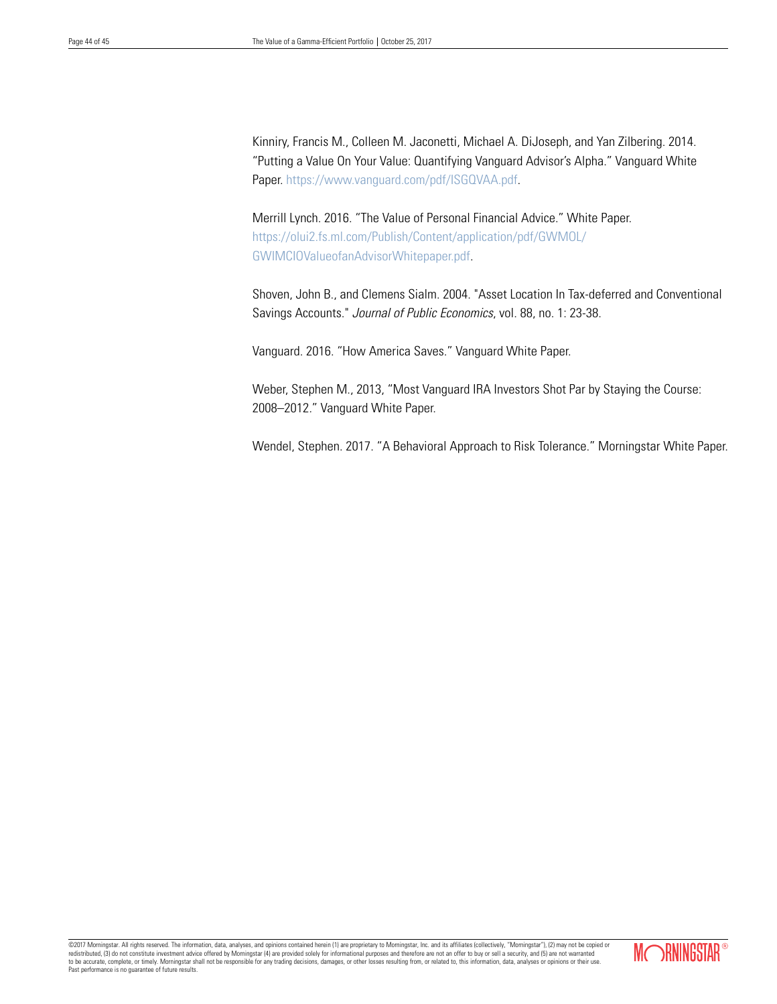Kinniry, Francis M., Colleen M. Jaconetti, Michael A. DiJoseph, and Yan Zilbering. 2014. "Putting a Value On Your Value: Quantifying Vanguard Advisor's Alpha." Vanguard White Paper. https://www.vanguard.com/pdf/ISGQVAA.pdf.

Merrill Lynch. 2016. "The Value of Personal Financial Advice." White Paper. https://olui2.fs.ml.com/Publish/Content/application/pdf/GWMOL/ GWIMCIOValueofanAdvisorWhitepaper.pdf.

Shoven, John B., and Clemens Sialm. 2004. "Asset Location In Tax-deferred and Conventional Savings Accounts." *Journal of Public Economics*, vol. 88, no. 1: 23-38.

Vanguard. 2016. "How America Saves." Vanguard White Paper.

Weber, Stephen M., 2013, "Most Vanguard IRA Investors Shot Par by Staying the Course: 2008–2012*.*" Vanguard White Paper.

Wendel, Stephen. 2017. "A Behavioral Approach to Risk Tolerance." Morningstar White Paper.